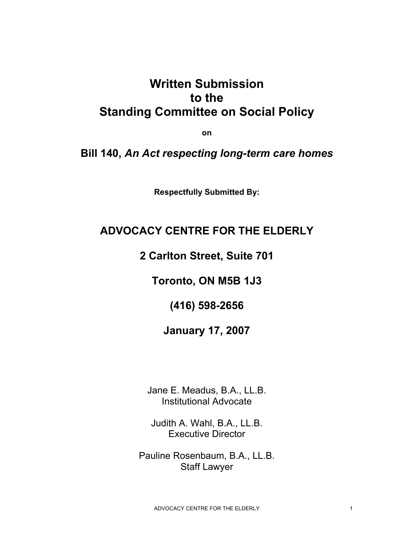# **Written Submission to the Standing Committee on Social Policy**

**on** 

### **Bill 140,** *An Act respecting long-term care homes*

**Respectfully Submitted By:** 

### **ADVOCACY CENTRE FOR THE ELDERLY**

**2 Carlton Street, Suite 701** 

**Toronto, ON M5B 1J3** 

**(416) 598-2656** 

### **January 17, 2007**

Jane E. Meadus, B.A., LL.B. Institutional Advocate

Judith A. Wahl, B.A., LL.B. Executive Director

Pauline Rosenbaum, B.A., LL.B. Staff Lawyer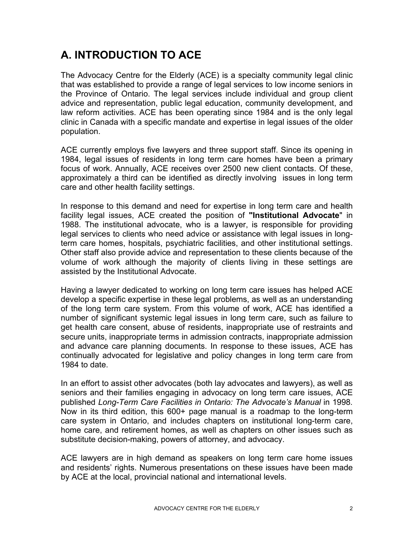# **A. INTRODUCTION TO ACE**

The Advocacy Centre for the Elderly (ACE) is a specialty community legal clinic that was established to provide a range of legal services to low income seniors in the Province of Ontario. The legal services include individual and group client advice and representation, public legal education, community development, and law reform activities. ACE has been operating since 1984 and is the only legal clinic in Canada with a specific mandate and expertise in legal issues of the older population.

ACE currently employs five lawyers and three support staff. Since its opening in 1984, legal issues of residents in long term care homes have been a primary focus of work. Annually, ACE receives over 2500 new client contacts. Of these, approximately a third can be identified as directly involving issues in long term care and other health facility settings.

In response to this demand and need for expertise in long term care and health facility legal issues, ACE created the position of **"Institutional Advocate**" in 1988. The institutional advocate, who is a lawyer, is responsible for providing legal services to clients who need advice or assistance with legal issues in longterm care homes, hospitals, psychiatric facilities, and other institutional settings. Other staff also provide advice and representation to these clients because of the volume of work although the majority of clients living in these settings are assisted by the Institutional Advocate.

Having a lawyer dedicated to working on long term care issues has helped ACE develop a specific expertise in these legal problems, as well as an understanding of the long term care system. From this volume of work, ACE has identified a number of significant systemic legal issues in long term care, such as failure to get health care consent, abuse of residents, inappropriate use of restraints and secure units, inappropriate terms in admission contracts, inappropriate admission and advance care planning documents. In response to these issues, ACE has continually advocated for legislative and policy changes in long term care from 1984 to date.

In an effort to assist other advocates (both lay advocates and lawyers), as well as seniors and their families engaging in advocacy on long term care issues, ACE published *Long-Term Care Facilities in Ontario: The Advocate's Manual* in 1998*.*  Now in its third edition, this 600+ page manual is a roadmap to the long-term care system in Ontario, and includes chapters on institutional long-term care, home care, and retirement homes, as well as chapters on other issues such as substitute decision-making, powers of attorney, and advocacy.

ACE lawyers are in high demand as speakers on long term care home issues and residents' rights. Numerous presentations on these issues have been made by ACE at the local, provincial national and international levels.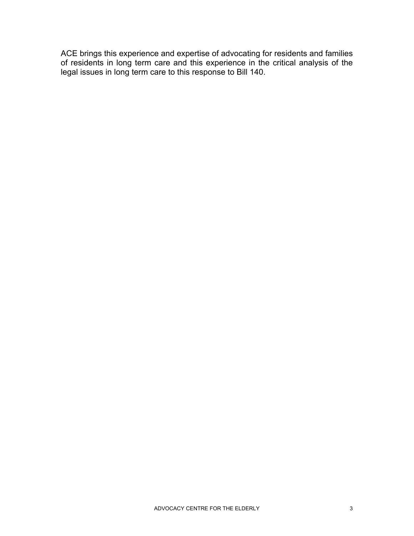ACE brings this experience and expertise of advocating for residents and families of residents in long term care and this experience in the critical analysis of the legal issues in long term care to this response to Bill 140.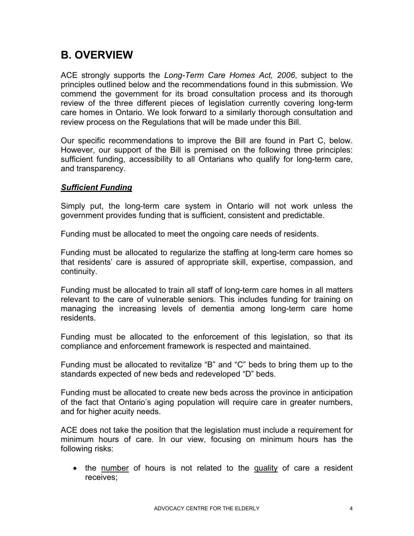## **B. OVERVIEW**

ACE strongly supports the *Long-Term Care Homes Act, 2006*, subject to the principles outlined below and the recommendations found in this submission. We commend the government for its broad consultation process and its thorough review of the three different pieces of legislation currently covering long-term care homes in Ontario. We look forward to a similarly thorough consultation and review process on the Regulations that will be made under this Bill.

Our specific recommendations to improve the Bill are found in Part C, below. However, our support of the Bill is premised on the following three principles: sufficient funding, accessibility to all Ontarians who qualify for long-term care, and transparency.

#### *Sufficient Funding*

Simply put, the long-term care system in Ontario will not work unless the government provides funding that is sufficient, consistent and predictable.

Funding must be allocated to meet the ongoing care needs of residents.

Funding must be allocated to regularize the staffing at long-term care homes so that residents' care is assured of appropriate skill, expertise, compassion, and continuity.

Funding must be allocated to train all staff of long-term care homes in all matters relevant to the care of vulnerable seniors. This includes funding for training on managing the increasing levels of dementia among long-term care home residents.

Funding must be allocated to the enforcement of this legislation, so that its compliance and enforcement framework is respected and maintained.

Funding must be allocated to revitalize "B" and "C" beds to bring them up to the standards expected of new beds and redeveloped "D" beds.

Funding must be allocated to create new beds across the province in anticipation of the fact that Ontario's aging population will require care in greater numbers, and for higher acuity needs.

ACE does not take the position that the legislation must include a requirement for minimum hours of care. In our view, focusing on minimum hours has the following risks:

• the number of hours is not related to the quality of care a resident receives;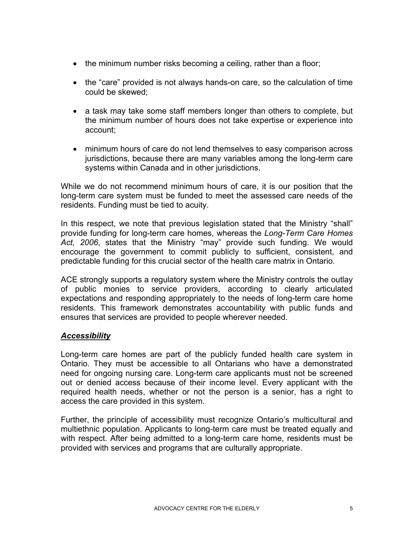- the minimum number risks becoming a ceiling, rather than a floor;
- the "care" provided is not always hands-on care, so the calculation of time could be skewed;
- a task may take some staff members longer than others to complete, but the minimum number of hours does not take expertise or experience into account;
- minimum hours of care do not lend themselves to easy comparison across jurisdictions, because there are many variables among the long-term care systems within Canada and in other jurisdictions.

While we do not recommend minimum hours of care, it is our position that the long-term care system must be funded to meet the assessed care needs of the residents. Funding must be tied to acuity.

In this respect, we note that previous legislation stated that the Ministry "shall" provide funding for long-term care homes, whereas the *Long-Term Care Homes Act, 2006*, states that the Ministry "may" provide such funding. We would encourage the government to commit publicly to sufficient, consistent, and predictable funding for this crucial sector of the health care matrix in Ontario.

ACE strongly supports a regulatory system where the Ministry controls the outlay of public monies to service providers, according to clearly articulated expectations and responding appropriately to the needs of long-term care home residents. This framework demonstrates accountability with public funds and ensures that services are provided to people wherever needed.

#### *Accessibility*

Long-term care homes are part of the publicly funded health care system in Ontario. They must be accessible to all Ontarians who have a demonstrated need for ongoing nursing care. Long-term care applicants must not be screened out or denied access because of their income level. Every applicant with the required health needs, whether or not the person is a senior, has a right to access the care provided in this system.

Further, the principle of accessibility must recognize Ontario's multicultural and multiethnic population. Applicants to long-term care must be treated equally and with respect. After being admitted to a long-term care home, residents must be provided with services and programs that are culturally appropriate.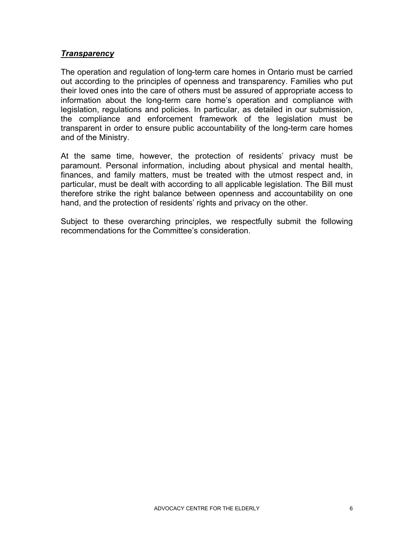#### *Transparency*

The operation and regulation of long-term care homes in Ontario must be carried out according to the principles of openness and transparency. Families who put their loved ones into the care of others must be assured of appropriate access to information about the long-term care home's operation and compliance with legislation, regulations and policies. In particular, as detailed in our submission, the compliance and enforcement framework of the legislation must be transparent in order to ensure public accountability of the long-term care homes and of the Ministry.

At the same time, however, the protection of residents' privacy must be paramount. Personal information, including about physical and mental health, finances, and family matters, must be treated with the utmost respect and, in particular, must be dealt with according to all applicable legislation. The Bill must therefore strike the right balance between openness and accountability on one hand, and the protection of residents' rights and privacy on the other.

Subject to these overarching principles, we respectfully submit the following recommendations for the Committee's consideration.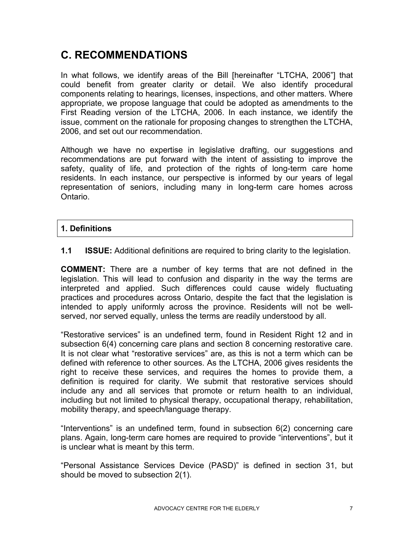## **C. RECOMMENDATIONS**

In what follows, we identify areas of the Bill [hereinafter "LTCHA, 2006"] that could benefit from greater clarity or detail. We also identify procedural components relating to hearings, licenses, inspections, and other matters. Where appropriate, we propose language that could be adopted as amendments to the First Reading version of the LTCHA, 2006. In each instance, we identify the issue, comment on the rationale for proposing changes to strengthen the LTCHA, 2006, and set out our recommendation.

Although we have no expertise in legislative drafting, our suggestions and recommendations are put forward with the intent of assisting to improve the safety, quality of life, and protection of the rights of long-term care home residents. In each instance, our perspective is informed by our years of legal representation of seniors, including many in long-term care homes across Ontario.

#### **1. Definitions**

**1.1 ISSUE:** Additional definitions are required to bring clarity to the legislation.

**COMMENT:** There are a number of key terms that are not defined in the legislation. This will lead to confusion and disparity in the way the terms are interpreted and applied. Such differences could cause widely fluctuating practices and procedures across Ontario, despite the fact that the legislation is intended to apply uniformly across the province. Residents will not be wellserved, nor served equally, unless the terms are readily understood by all.

"Restorative services" is an undefined term, found in Resident Right 12 and in subsection 6(4) concerning care plans and section 8 concerning restorative care. It is not clear what "restorative services" are, as this is not a term which can be defined with reference to other sources. As the LTCHA, 2006 gives residents the right to receive these services, and requires the homes to provide them, a definition is required for clarity. We submit that restorative services should include any and all services that promote or return health to an individual, including but not limited to physical therapy, occupational therapy, rehabilitation, mobility therapy, and speech/language therapy.

"Interventions" is an undefined term, found in subsection 6(2) concerning care plans. Again, long-term care homes are required to provide "interventions", but it is unclear what is meant by this term.

"Personal Assistance Services Device (PASD)" is defined in section 31, but should be moved to subsection 2(1).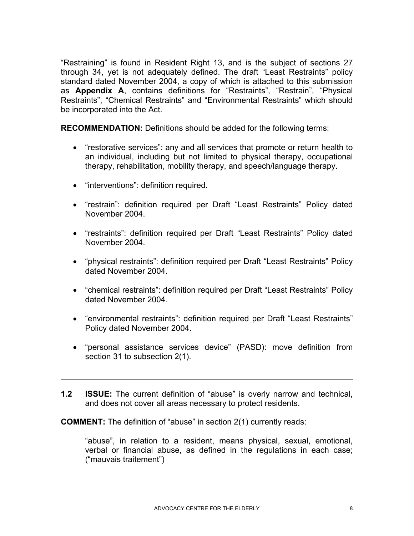"Restraining" is found in Resident Right 13, and is the subject of sections 27 through 34, yet is not adequately defined. The draft "Least Restraints" policy standard dated November 2004, a copy of which is attached to this submission as **Appendix A**, contains definitions for "Restraints", "Restrain", "Physical Restraints", "Chemical Restraints" and "Environmental Restraints" which should be incorporated into the Act.

**RECOMMENDATION:** Definitions should be added for the following terms:

- "restorative services": any and all services that promote or return health to an individual, including but not limited to physical therapy, occupational therapy, rehabilitation, mobility therapy, and speech/language therapy.
- "interventions": definition required.

l

- "restrain": definition required per Draft "Least Restraints" Policy dated November 2004.
- "restraints": definition required per Draft "Least Restraints" Policy dated November 2004.
- "physical restraints": definition required per Draft "Least Restraints" Policy dated November 2004.
- "chemical restraints": definition required per Draft "Least Restraints" Policy dated November 2004.
- "environmental restraints": definition required per Draft "Least Restraints" Policy dated November 2004.
- "personal assistance services device" (PASD): move definition from section 31 to subsection 2(1).
- **1.2 ISSUE:** The current definition of "abuse" is overly narrow and technical, and does not cover all areas necessary to protect residents.

**COMMENT:** The definition of "abuse" in section 2(1) currently reads:

"abuse", in relation to a resident, means physical, sexual, emotional, verbal or financial abuse, as defined in the regulations in each case; ("mauvais traitement")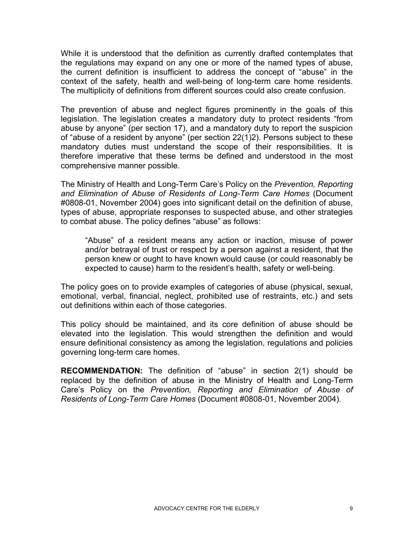While it is understood that the definition as currently drafted contemplates that the regulations may expand on any one or more of the named types of abuse, the current definition is insufficient to address the concept of "abuse" in the context of the safety, health and well-being of long-term care home residents. The multiplicity of definitions from different sources could also create confusion.

The prevention of abuse and neglect figures prominently in the goals of this legislation. The legislation creates a mandatory duty to protect residents "from abuse by anyone" (per section 17), and a mandatory duty to report the suspicion of "abuse of a resident by anyone" (per section 22(1)2). Persons subject to these mandatory duties must understand the scope of their responsibilities. It is therefore imperative that these terms be defined and understood in the most comprehensive manner possible.

The Ministry of Health and Long-Term Care's Policy on the *Prevention, Reporting and Elimination of Abuse of Residents of Long-Term Care Homes* (Document #0808-01, November 2004) goes into significant detail on the definition of abuse, types of abuse, appropriate responses to suspected abuse, and other strategies to combat abuse. The policy defines "abuse" as follows:

"Abuse" of a resident means any action or inaction, misuse of power and/or betrayal of trust or respect by a person against a resident, that the person knew or ought to have known would cause (or could reasonably be expected to cause) harm to the resident's health, safety or well-being.

The policy goes on to provide examples of categories of abuse (physical, sexual, emotional, verbal, financial, neglect, prohibited use of restraints, etc.) and sets out definitions within each of those categories.

This policy should be maintained, and its core definition of abuse should be elevated into the legislation. This would strengthen the definition and would ensure definitional consistency as among the legislation, regulations and policies governing long-term care homes.

**RECOMMENDATION:** The definition of "abuse" in section 2(1) should be replaced by the definition of abuse in the Ministry of Health and Long-Term Care's Policy on the *Prevention, Reporting and Elimination of Abuse of Residents of Long-Term Care Homes* (Document #0808-01, November 2004).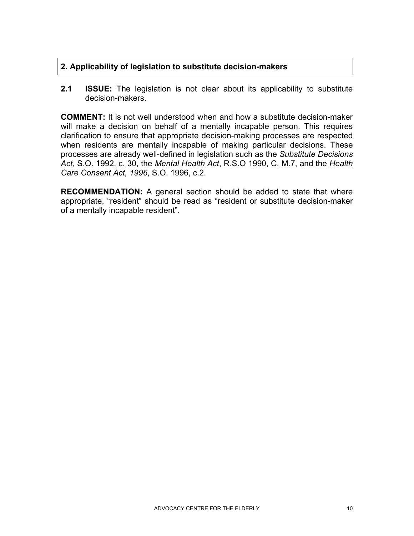#### **2. Applicability of legislation to substitute decision-makers**

**2.1 ISSUE:** The legislation is not clear about its applicability to substitute decision-makers.

**COMMENT:** It is not well understood when and how a substitute decision-maker will make a decision on behalf of a mentally incapable person. This requires clarification to ensure that appropriate decision-making processes are respected when residents are mentally incapable of making particular decisions. These processes are already well-defined in legislation such as the *Substitute Decisions Act*, S.O. 1992, c. 30, the *Mental Health Act*, R.S.O 1990, C. M.7, and the *Health Care Consent Act, 1996*, S.O. 1996, c.2.

**RECOMMENDATION:** A general section should be added to state that where appropriate, "resident" should be read as "resident or substitute decision-maker of a mentally incapable resident".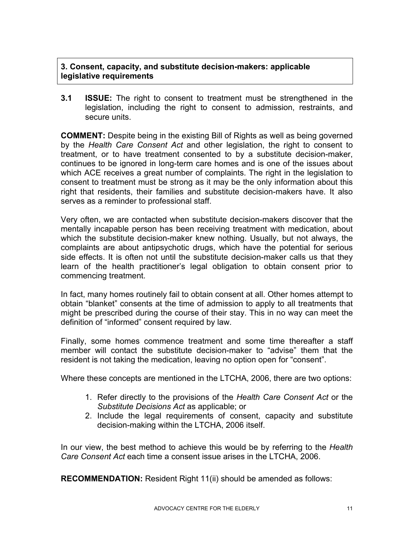**3. Consent, capacity, and substitute decision-makers: applicable legislative requirements** 

**3.1 ISSUE:** The right to consent to treatment must be strengthened in the legislation, including the right to consent to admission, restraints, and secure units.

**COMMENT:** Despite being in the existing Bill of Rights as well as being governed by the *Health Care Consent Act* and other legislation, the right to consent to treatment, or to have treatment consented to by a substitute decision-maker, continues to be ignored in long-term care homes and is one of the issues about which ACE receives a great number of complaints. The right in the legislation to consent to treatment must be strong as it may be the only information about this right that residents, their families and substitute decision-makers have. It also serves as a reminder to professional staff.

Very often, we are contacted when substitute decision-makers discover that the mentally incapable person has been receiving treatment with medication, about which the substitute decision-maker knew nothing. Usually, but not always, the complaints are about antipsychotic drugs, which have the potential for serious side effects. It is often not until the substitute decision-maker calls us that they learn of the health practitioner's legal obligation to obtain consent prior to commencing treatment.

In fact, many homes routinely fail to obtain consent at all. Other homes attempt to obtain "blanket" consents at the time of admission to apply to all treatments that might be prescribed during the course of their stay. This in no way can meet the definition of "informed" consent required by law.

Finally, some homes commence treatment and some time thereafter a staff member will contact the substitute decision-maker to "advise" them that the resident is not taking the medication, leaving no option open for "consent".

Where these concepts are mentioned in the LTCHA, 2006, there are two options:

- 1. Refer directly to the provisions of the *Health Care Consent Act* or the *Substitute Decisions Act* as applicable; or
- 2. Include the legal requirements of consent, capacity and substitute decision-making within the LTCHA, 2006 itself.

In our view, the best method to achieve this would be by referring to the *Health Care Consent Act* each time a consent issue arises in the LTCHA, 2006.

**RECOMMENDATION:** Resident Right 11(ii) should be amended as follows: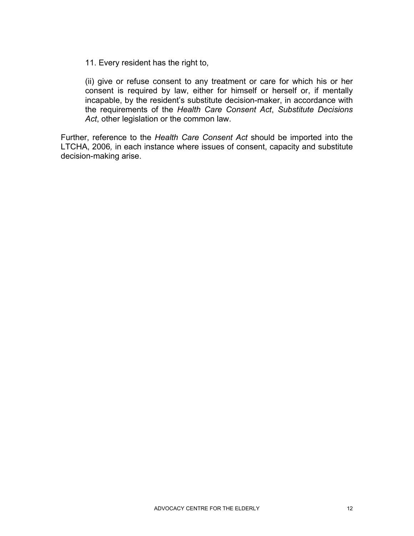11. Every resident has the right to,

(ii) give or refuse consent to any treatment or care for which his or her consent is required by law, either for himself or herself or, if mentally incapable, by the resident's substitute decision-maker, in accordance with the requirements of the *Health Care Consent Act*, *Substitute Decisions Act*, other legislation or the common law.

Further, reference to the *Health Care Consent Act* should be imported into the LTCHA, 2006*,* in each instance where issues of consent, capacity and substitute decision-making arise.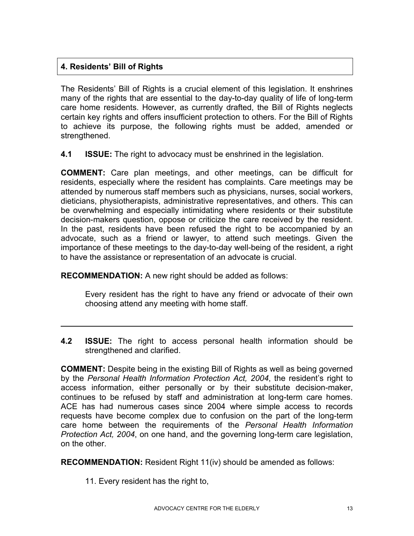#### **4. Residents' Bill of Rights**

l

The Residents' Bill of Rights is a crucial element of this legislation. It enshrines many of the rights that are essential to the day-to-day quality of life of long-term care home residents. However, as currently drafted, the Bill of Rights neglects certain key rights and offers insufficient protection to others. For the Bill of Rights to achieve its purpose, the following rights must be added, amended or strengthened.

**4.1 ISSUE:** The right to advocacy must be enshrined in the legislation.

**COMMENT:** Care plan meetings, and other meetings, can be difficult for residents, especially where the resident has complaints. Care meetings may be attended by numerous staff members such as physicians, nurses, social workers, dieticians, physiotherapists, administrative representatives, and others. This can be overwhelming and especially intimidating where residents or their substitute decision-makers question, oppose or criticize the care received by the resident. In the past, residents have been refused the right to be accompanied by an advocate, such as a friend or lawyer, to attend such meetings. Given the importance of these meetings to the day-to-day well-being of the resident, a right to have the assistance or representation of an advocate is crucial.

**RECOMMENDATION:** A new right should be added as follows:

Every resident has the right to have any friend or advocate of their own choosing attend any meeting with home staff.

**4.2 ISSUE:** The right to access personal health information should be strengthened and clarified.

**COMMENT:** Despite being in the existing Bill of Rights as well as being governed by the *Personal Health Information Protection Act, 2004*, the resident's right to access information, either personally or by their substitute decision-maker, continues to be refused by staff and administration at long-term care homes. ACE has had numerous cases since 2004 where simple access to records requests have become complex due to confusion on the part of the long-term care home between the requirements of the *Personal Health Information Protection Act, 2004*, on one hand, and the governing long-term care legislation, on the other.

**RECOMMENDATION:** Resident Right 11(iv) should be amended as follows:

11. Every resident has the right to,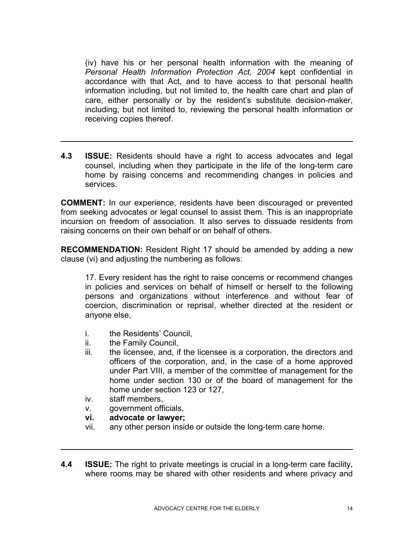(iv) have his or her personal health information with the meaning of *Personal Health Information Protection Act, 2004* kept confidential in accordance with that Act, and to have access to that personal health information including, but not limited to, the health care chart and plan of care, either personally or by the resident's substitute decision-maker, including, but not limited to, reviewing the personal health information or receiving copies thereof.

**4.3 ISSUE:** Residents should have a right to access advocates and legal counsel, including when they participate in the life of the long-term care home by raising concerns and recommending changes in policies and services.

**COMMENT:** In our experience, residents have been discouraged or prevented from seeking advocates or legal counsel to assist them. This is an inappropriate incursion on freedom of association. It also serves to dissuade residents from raising concerns on their own behalf or on behalf of others.

**RECOMMENDATION:** Resident Right 17 should be amended by adding a new clause (vi) and adjusting the numbering as follows:

17. Every resident has the right to raise concerns or recommend changes in policies and services on behalf of himself or herself to the following persons and organizations without interference and without fear of coercion, discrimination or reprisal, whether directed at the resident or anyone else,

- i. the Residents' Council,
- ii. the Family Council,

l

 $\overline{a}$ 

- iii. the licensee, and, if the licensee is a corporation, the directors and officers of the corporation, and, in the case of a home approved under Part VIII, a member of the committee of management for the home under section 130 or of the board of management for the home under section 123 or 127,
- iv. staff members,
- v. government officials,
- **vi. advocate or lawyer;**
- vii. any other person inside or outside the long-term care home.
- **4.4 ISSUE:** The right to private meetings is crucial in a long-term care facility, where rooms may be shared with other residents and where privacy and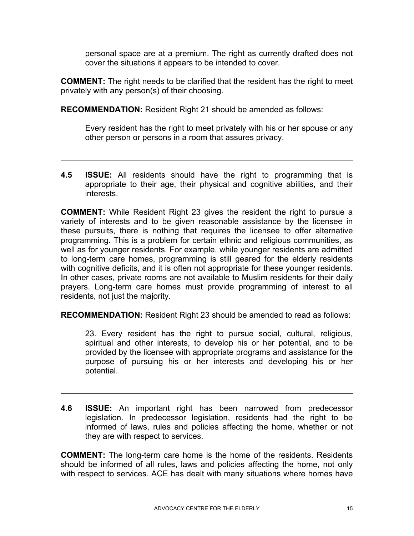personal space are at a premium. The right as currently drafted does not cover the situations it appears to be intended to cover.

**COMMENT:** The right needs to be clarified that the resident has the right to meet privately with any person(s) of their choosing.

**RECOMMENDATION:** Resident Right 21 should be amended as follows:

l

 $\overline{a}$ 

Every resident has the right to meet privately with his or her spouse or any other person or persons in a room that assures privacy.

**4.5 ISSUE:** All residents should have the right to programming that is appropriate to their age, their physical and cognitive abilities, and their interests.

**COMMENT:** While Resident Right 23 gives the resident the right to pursue a variety of interests and to be given reasonable assistance by the licensee in these pursuits, there is nothing that requires the licensee to offer alternative programming. This is a problem for certain ethnic and religious communities, as well as for younger residents. For example, while younger residents are admitted to long-term care homes, programming is still geared for the elderly residents with cognitive deficits, and it is often not appropriate for these younger residents. In other cases, private rooms are not available to Muslim residents for their daily prayers. Long-term care homes must provide programming of interest to all residents, not just the majority.

**RECOMMENDATION:** Resident Right 23 should be amended to read as follows:

23. Every resident has the right to pursue social, cultural, religious, spiritual and other interests, to develop his or her potential, and to be provided by the licensee with appropriate programs and assistance for the purpose of pursuing his or her interests and developing his or her potential.

**4.6 ISSUE:** An important right has been narrowed from predecessor legislation. In predecessor legislation, residents had the right to be informed of laws, rules and policies affecting the home, whether or not they are with respect to services.

**COMMENT:** The long-term care home is the home of the residents. Residents should be informed of all rules, laws and policies affecting the home, not only with respect to services. ACE has dealt with many situations where homes have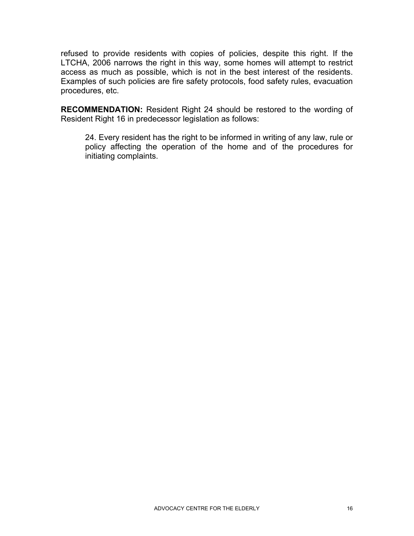refused to provide residents with copies of policies, despite this right. If the LTCHA, 2006 narrows the right in this way, some homes will attempt to restrict access as much as possible, which is not in the best interest of the residents. Examples of such policies are fire safety protocols, food safety rules, evacuation procedures, etc.

**RECOMMENDATION:** Resident Right 24 should be restored to the wording of Resident Right 16 in predecessor legislation as follows:

24. Every resident has the right to be informed in writing of any law, rule or policy affecting the operation of the home and of the procedures for initiating complaints.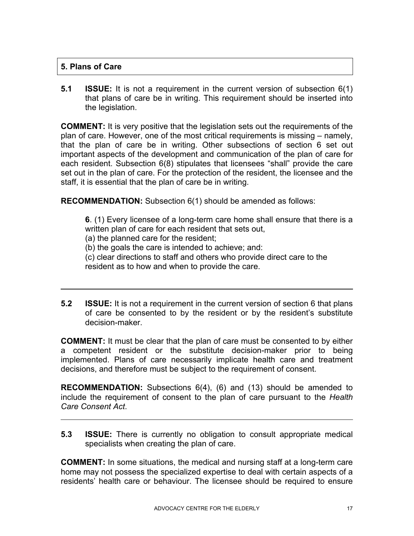#### **5. Plans of Care**

l

 $\overline{a}$ 

**5.1 ISSUE:** It is not a requirement in the current version of subsection 6(1) that plans of care be in writing. This requirement should be inserted into the legislation.

**COMMENT:** It is very positive that the legislation sets out the requirements of the plan of care. However, one of the most critical requirements is missing – namely, that the plan of care be in writing. Other subsections of section 6 set out important aspects of the development and communication of the plan of care for each resident. Subsection 6(8) stipulates that licensees "shall" provide the care set out in the plan of care. For the protection of the resident, the licensee and the staff, it is essential that the plan of care be in writing.

**RECOMMENDATION:** Subsection 6(1) should be amended as follows:

**6**. (1) Every licensee of a long-term care home shall ensure that there is a written plan of care for each resident that sets out,

(a) the planned care for the resident;

(b) the goals the care is intended to achieve; and:

(c) clear directions to staff and others who provide direct care to the resident as to how and when to provide the care.

**5.2 ISSUE:** It is not a requirement in the current version of section 6 that plans of care be consented to by the resident or by the resident's substitute decision-maker.

**COMMENT:** It must be clear that the plan of care must be consented to by either a competent resident or the substitute decision-maker prior to being implemented. Plans of care necessarily implicate health care and treatment decisions, and therefore must be subject to the requirement of consent.

**RECOMMENDATION:** Subsections 6(4), (6) and (13) should be amended to include the requirement of consent to the plan of care pursuant to the *Health Care Consent Act*.

**5.3 ISSUE:** There is currently no obligation to consult appropriate medical specialists when creating the plan of care.

**COMMENT:** In some situations, the medical and nursing staff at a long-term care home may not possess the specialized expertise to deal with certain aspects of a residents' health care or behaviour. The licensee should be required to ensure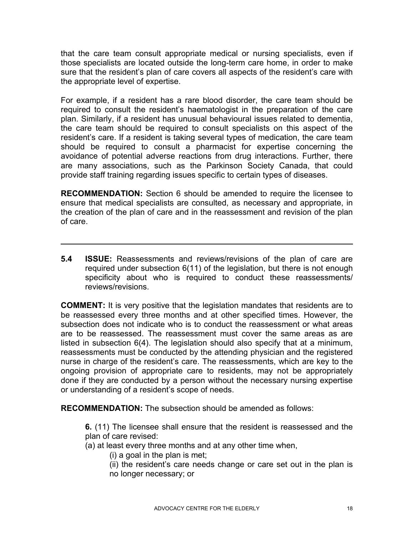that the care team consult appropriate medical or nursing specialists, even if those specialists are located outside the long-term care home, in order to make sure that the resident's plan of care covers all aspects of the resident's care with the appropriate level of expertise.

For example, if a resident has a rare blood disorder, the care team should be required to consult the resident's haematologist in the preparation of the care plan. Similarly, if a resident has unusual behavioural issues related to dementia, the care team should be required to consult specialists on this aspect of the resident's care. If a resident is taking several types of medication, the care team should be required to consult a pharmacist for expertise concerning the avoidance of potential adverse reactions from drug interactions. Further, there are many associations, such as the Parkinson Society Canada, that could provide staff training regarding issues specific to certain types of diseases.

**RECOMMENDATION:** Section 6 should be amended to require the licensee to ensure that medical specialists are consulted, as necessary and appropriate, in the creation of the plan of care and in the reassessment and revision of the plan of care.

**5.4 ISSUE:** Reassessments and reviews/revisions of the plan of care are required under subsection 6(11) of the legislation, but there is not enough specificity about who is required to conduct these reassessments/ reviews/revisions.

**COMMENT:** It is very positive that the legislation mandates that residents are to be reassessed every three months and at other specified times. However, the subsection does not indicate who is to conduct the reassessment or what areas are to be reassessed. The reassessment must cover the same areas as are listed in subsection 6(4). The legislation should also specify that at a minimum, reassessments must be conducted by the attending physician and the registered nurse in charge of the resident's care. The reassessments, which are key to the ongoing provision of appropriate care to residents, may not be appropriately done if they are conducted by a person without the necessary nursing expertise or understanding of a resident's scope of needs.

**RECOMMENDATION:** The subsection should be amended as follows:

**6.** (11) The licensee shall ensure that the resident is reassessed and the plan of care revised:

(a) at least every three months and at any other time when,

(i) a goal in the plan is met;

l

(ii) the resident's care needs change or care set out in the plan is no longer necessary; or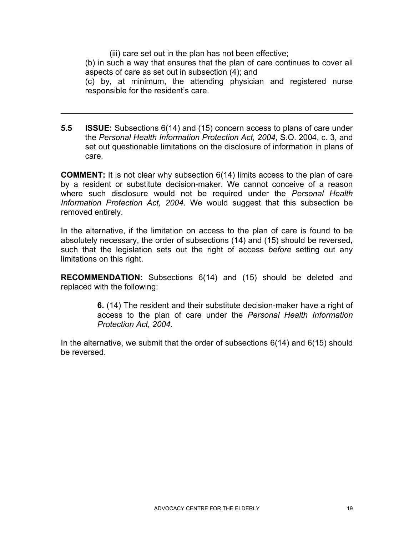(iii) care set out in the plan has not been effective;

l

(b) in such a way that ensures that the plan of care continues to cover all aspects of care as set out in subsection (4); and

(c) by, at minimum, the attending physician and registered nurse responsible for the resident's care.

**5.5 ISSUE:** Subsections 6(14) and (15) concern access to plans of care under the *Personal Health Information Protection Act, 2004*, S.O. 2004, c. 3, and set out questionable limitations on the disclosure of information in plans of care.

**COMMENT:** It is not clear why subsection 6(14) limits access to the plan of care by a resident or substitute decision-maker. We cannot conceive of a reason where such disclosure would not be required under the *Personal Health Information Protection Act, 2004*. We would suggest that this subsection be removed entirely.

In the alternative, if the limitation on access to the plan of care is found to be absolutely necessary, the order of subsections (14) and (15) should be reversed, such that the legislation sets out the right of access *before* setting out any limitations on this right.

**RECOMMENDATION:** Subsections 6(14) and (15) should be deleted and replaced with the following:

> **6.** (14) The resident and their substitute decision-maker have a right of access to the plan of care under the *Personal Health Information Protection Act, 2004.*

In the alternative, we submit that the order of subsections 6(14) and 6(15) should be reversed.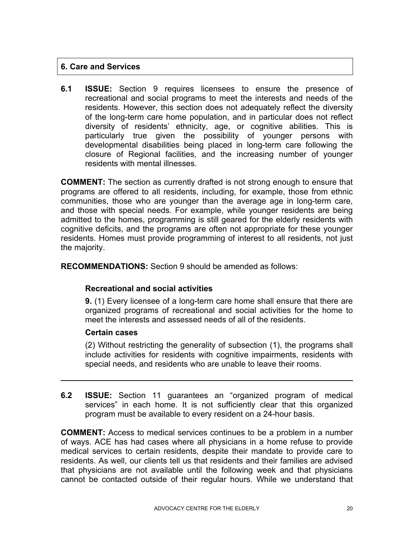#### **6. Care and Services**

**6.1 ISSUE:** Section 9 requires licensees to ensure the presence of recreational and social programs to meet the interests and needs of the residents. However, this section does not adequately reflect the diversity of the long-term care home population, and in particular does not reflect diversity of residents' ethnicity, age, or cognitive abilities. This is particularly true given the possibility of younger persons with developmental disabilities being placed in long-term care following the closure of Regional facilities, and the increasing number of younger residents with mental illnesses.

**COMMENT:** The section as currently drafted is not strong enough to ensure that programs are offered to all residents, including, for example, those from ethnic communities, those who are younger than the average age in long-term care, and those with special needs. For example, while younger residents are being admitted to the homes, programming is still geared for the elderly residents with cognitive deficits, and the programs are often not appropriate for these younger residents. Homes must provide programming of interest to all residents, not just the majority.

**RECOMMENDATIONS:** Section 9 should be amended as follows:

#### **Recreational and social activities**

**9.** (1) Every licensee of a long-term care home shall ensure that there are organized programs of recreational and social activities for the home to meet the interests and assessed needs of all of the residents.

#### **Certain cases**

l

(2) Without restricting the generality of subsection (1), the programs shall include activities for residents with cognitive impairments, residents with special needs, and residents who are unable to leave their rooms.

**6.2 ISSUE:** Section 11 guarantees an "organized program of medical services" in each home. It is not sufficiently clear that this organized program must be available to every resident on a 24-hour basis.

**COMMENT:** Access to medical services continues to be a problem in a number of ways. ACE has had cases where all physicians in a home refuse to provide medical services to certain residents, despite their mandate to provide care to residents. As well, our clients tell us that residents and their families are advised that physicians are not available until the following week and that physicians cannot be contacted outside of their regular hours. While we understand that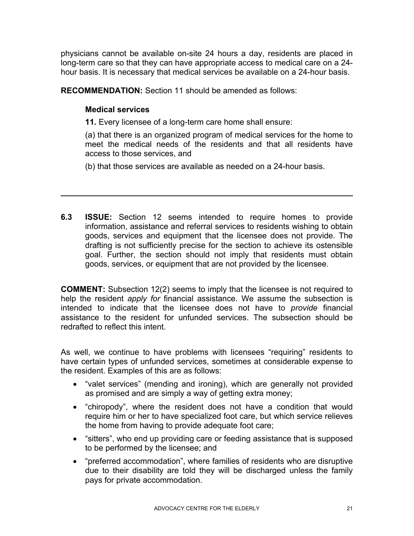physicians cannot be available on-site 24 hours a day, residents are placed in long-term care so that they can have appropriate access to medical care on a 24 hour basis. It is necessary that medical services be available on a 24-hour basis.

**RECOMMENDATION:** Section 11 should be amended as follows:

#### **Medical services**

l

**11.** Every licensee of a long-term care home shall ensure:

(a) that there is an organized program of medical services for the home to meet the medical needs of the residents and that all residents have access to those services, and

(b) that those services are available as needed on a 24-hour basis.

**6.3 ISSUE:** Section 12 seems intended to require homes to provide information, assistance and referral services to residents wishing to obtain goods, services and equipment that the licensee does not provide. The drafting is not sufficiently precise for the section to achieve its ostensible goal. Further, the section should not imply that residents must obtain goods, services, or equipment that are not provided by the licensee.

**COMMENT:** Subsection 12(2) seems to imply that the licensee is not required to help the resident *apply for* financial assistance. We assume the subsection is intended to indicate that the licensee does not have to *provide* financial assistance to the resident for unfunded services. The subsection should be redrafted to reflect this intent.

As well, we continue to have problems with licensees "requiring" residents to have certain types of unfunded services, sometimes at considerable expense to the resident. Examples of this are as follows:

- "valet services" (mending and ironing), which are generally not provided as promised and are simply a way of getting extra money;
- "chiropody", where the resident does not have a condition that would require him or her to have specialized foot care, but which service relieves the home from having to provide adequate foot care;
- "sitters", who end up providing care or feeding assistance that is supposed to be performed by the licensee; and
- "preferred accommodation", where families of residents who are disruptive due to their disability are told they will be discharged unless the family pays for private accommodation.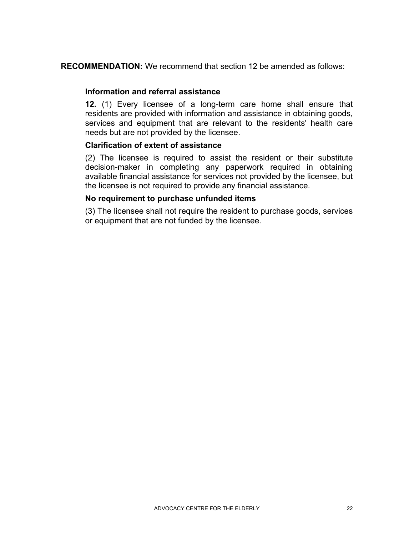**RECOMMENDATION:** We recommend that section 12 be amended as follows:

#### **Information and referral assistance**

**12.** (1) Every licensee of a long-term care home shall ensure that residents are provided with information and assistance in obtaining goods, services and equipment that are relevant to the residents' health care needs but are not provided by the licensee.

#### **Clarification of extent of assistance**

(2) The licensee is required to assist the resident or their substitute decision-maker in completing any paperwork required in obtaining available financial assistance for services not provided by the licensee, but the licensee is not required to provide any financial assistance.

#### **No requirement to purchase unfunded items**

(3) The licensee shall not require the resident to purchase goods, services or equipment that are not funded by the licensee.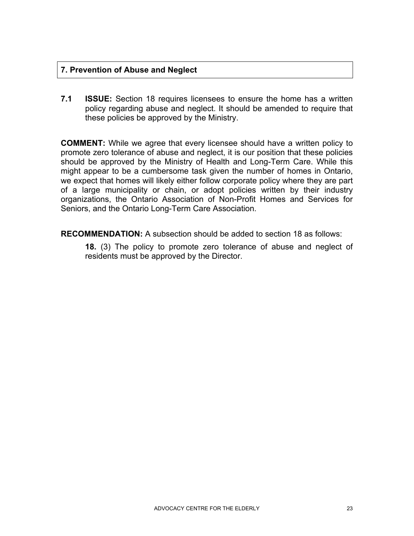#### **7. Prevention of Abuse and Neglect**

**7.1 ISSUE:** Section 18 requires licensees to ensure the home has a written policy regarding abuse and neglect. It should be amended to require that these policies be approved by the Ministry.

**COMMENT:** While we agree that every licensee should have a written policy to promote zero tolerance of abuse and neglect, it is our position that these policies should be approved by the Ministry of Health and Long-Term Care. While this might appear to be a cumbersome task given the number of homes in Ontario, we expect that homes will likely either follow corporate policy where they are part of a large municipality or chain, or adopt policies written by their industry organizations, the Ontario Association of Non-Profit Homes and Services for Seniors, and the Ontario Long-Term Care Association.

**RECOMMENDATION:** A subsection should be added to section 18 as follows:

**18.** (3) The policy to promote zero tolerance of abuse and neglect of residents must be approved by the Director.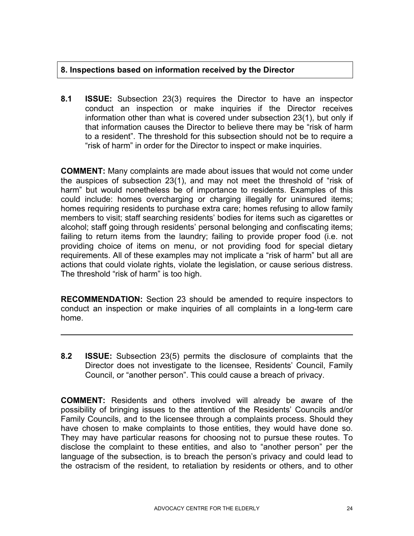#### **8. Inspections based on information received by the Director**

**8.1 ISSUE:** Subsection 23(3) requires the Director to have an inspector conduct an inspection or make inquiries if the Director receives information other than what is covered under subsection 23(1), but only if that information causes the Director to believe there may be "risk of harm to a resident". The threshold for this subsection should not be to require a "risk of harm" in order for the Director to inspect or make inquiries.

**COMMENT:** Many complaints are made about issues that would not come under the auspices of subsection 23(1), and may not meet the threshold of "risk of harm" but would nonetheless be of importance to residents. Examples of this could include: homes overcharging or charging illegally for uninsured items; homes requiring residents to purchase extra care; homes refusing to allow family members to visit; staff searching residents' bodies for items such as cigarettes or alcohol; staff going through residents' personal belonging and confiscating items; failing to return items from the laundry; failing to provide proper food (i.e. not providing choice of items on menu, or not providing food for special dietary requirements. All of these examples may not implicate a "risk of harm" but all are actions that could violate rights, violate the legislation, or cause serious distress. The threshold "risk of harm" is too high.

**RECOMMENDATION:** Section 23 should be amended to require inspectors to conduct an inspection or make inquiries of all complaints in a long-term care home.

l

**8.2 ISSUE:** Subsection 23(5) permits the disclosure of complaints that the Director does not investigate to the licensee, Residents' Council, Family Council, or "another person". This could cause a breach of privacy.

**COMMENT:** Residents and others involved will already be aware of the possibility of bringing issues to the attention of the Residents' Councils and/or Family Councils, and to the licensee through a complaints process. Should they have chosen to make complaints to those entities, they would have done so. They may have particular reasons for choosing not to pursue these routes. To disclose the complaint to these entities, and also to "another person" per the language of the subsection, is to breach the person's privacy and could lead to the ostracism of the resident, to retaliation by residents or others, and to other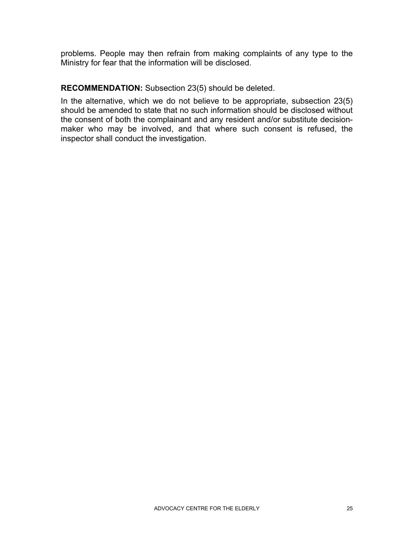problems. People may then refrain from making complaints of any type to the Ministry for fear that the information will be disclosed.

#### **RECOMMENDATION:** Subsection 23(5) should be deleted.

In the alternative, which we do not believe to be appropriate, subsection 23(5) should be amended to state that no such information should be disclosed without the consent of both the complainant and any resident and/or substitute decisionmaker who may be involved, and that where such consent is refused, the inspector shall conduct the investigation.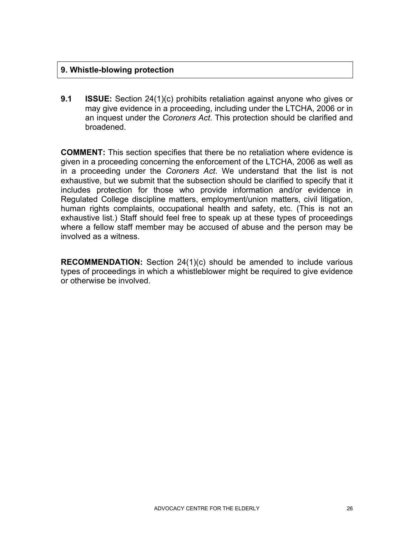#### **9. Whistle-blowing protection**

**9.1 ISSUE:** Section 24(1)(c) prohibits retaliation against anyone who gives or may give evidence in a proceeding, including under the LTCHA, 2006 or in an inquest under the *Coroners Act*. This protection should be clarified and broadened.

**COMMENT:** This section specifies that there be no retaliation where evidence is given in a proceeding concerning the enforcement of the LTCHA, 2006 as well as in a proceeding under the *Coroners Act*. We understand that the list is not exhaustive, but we submit that the subsection should be clarified to specify that it includes protection for those who provide information and/or evidence in Regulated College discipline matters, employment/union matters, civil litigation, human rights complaints, occupational health and safety, etc. (This is not an exhaustive list.) Staff should feel free to speak up at these types of proceedings where a fellow staff member may be accused of abuse and the person may be involved as a witness.

**RECOMMENDATION:** Section 24(1)(c) should be amended to include various types of proceedings in which a whistleblower might be required to give evidence or otherwise be involved.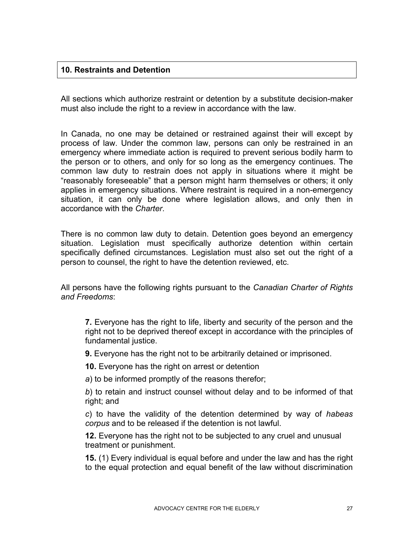#### **10. Restraints and Detention**

All sections which authorize restraint or detention by a substitute decision-maker must also include the right to a review in accordance with the law.

In Canada, no one may be detained or restrained against their will except by process of law. Under the common law, persons can only be restrained in an emergency where immediate action is required to prevent serious bodily harm to the person or to others, and only for so long as the emergency continues. The common law duty to restrain does not apply in situations where it might be "reasonably foreseeable" that a person might harm themselves or others; it only applies in emergency situations. Where restraint is required in a non-emergency situation, it can only be done where legislation allows, and only then in accordance with the *Charter*.

There is no common law duty to detain. Detention goes beyond an emergency situation. Legislation must specifically authorize detention within certain specifically defined circumstances. Legislation must also set out the right of a person to counsel, the right to have the detention reviewed, etc.

All persons have the following rights pursuant to the *Canadian Charter of Rights and Freedoms*:

**7.** Everyone has the right to life, liberty and security of the person and the right not to be deprived thereof except in accordance with the principles of fundamental justice.

**9.** Everyone has the right not to be arbitrarily detained or imprisoned.

**10.** Everyone has the right on arrest or detention

*a*) to be informed promptly of the reasons therefor;

*b*) to retain and instruct counsel without delay and to be informed of that right; and

*c*) to have the validity of the detention determined by way of *habeas corpus* and to be released if the detention is not lawful.

**12.** Everyone has the right not to be subjected to any cruel and unusual treatment or punishment.

**15.** (1) Every individual is equal before and under the law and has the right to the equal protection and equal benefit of the law without discrimination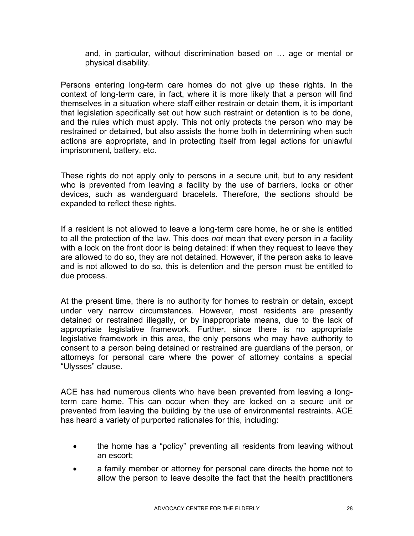and, in particular, without discrimination based on … age or mental or physical disability.

Persons entering long-term care homes do not give up these rights. In the context of long-term care, in fact, where it is more likely that a person will find themselves in a situation where staff either restrain or detain them, it is important that legislation specifically set out how such restraint or detention is to be done, and the rules which must apply. This not only protects the person who may be restrained or detained, but also assists the home both in determining when such actions are appropriate, and in protecting itself from legal actions for unlawful imprisonment, battery, etc.

These rights do not apply only to persons in a secure unit, but to any resident who is prevented from leaving a facility by the use of barriers, locks or other devices, such as wanderguard bracelets. Therefore, the sections should be expanded to reflect these rights.

If a resident is not allowed to leave a long-term care home, he or she is entitled to all the protection of the law. This does *not* mean that every person in a facility with a lock on the front door is being detained: if when they request to leave they are allowed to do so, they are not detained. However, if the person asks to leave and is not allowed to do so, this is detention and the person must be entitled to due process.

At the present time, there is no authority for homes to restrain or detain, except under very narrow circumstances. However, most residents are presently detained or restrained illegally, or by inappropriate means, due to the lack of appropriate legislative framework. Further, since there is no appropriate legislative framework in this area, the only persons who may have authority to consent to a person being detained or restrained are guardians of the person, or attorneys for personal care where the power of attorney contains a special "Ulysses" clause.

ACE has had numerous clients who have been prevented from leaving a longterm care home. This can occur when they are locked on a secure unit or prevented from leaving the building by the use of environmental restraints. ACE has heard a variety of purported rationales for this, including:

- the home has a "policy" preventing all residents from leaving without an escort;
- a family member or attorney for personal care directs the home not to allow the person to leave despite the fact that the health practitioners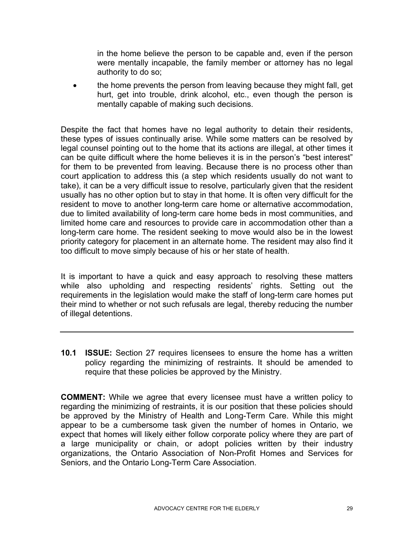in the home believe the person to be capable and, even if the person were mentally incapable, the family member or attorney has no legal authority to do so;

• the home prevents the person from leaving because they might fall, get hurt, get into trouble, drink alcohol, etc., even though the person is mentally capable of making such decisions.

Despite the fact that homes have no legal authority to detain their residents, these types of issues continually arise. While some matters can be resolved by legal counsel pointing out to the home that its actions are illegal, at other times it can be quite difficult where the home believes it is in the person's "best interest" for them to be prevented from leaving. Because there is no process other than court application to address this (a step which residents usually do not want to take), it can be a very difficult issue to resolve, particularly given that the resident usually has no other option but to stay in that home. It is often very difficult for the resident to move to another long-term care home or alternative accommodation, due to limited availability of long-term care home beds in most communities, and limited home care and resources to provide care in accommodation other than a long-term care home. The resident seeking to move would also be in the lowest priority category for placement in an alternate home. The resident may also find it too difficult to move simply because of his or her state of health.

It is important to have a quick and easy approach to resolving these matters while also upholding and respecting residents' rights. Setting out the requirements in the legislation would make the staff of long-term care homes put their mind to whether or not such refusals are legal, thereby reducing the number of illegal detentions.

**10.1 ISSUE:** Section 27 requires licensees to ensure the home has a written policy regarding the minimizing of restraints. It should be amended to require that these policies be approved by the Ministry.

**COMMENT:** While we agree that every licensee must have a written policy to regarding the minimizing of restraints, it is our position that these policies should be approved by the Ministry of Health and Long-Term Care. While this might appear to be a cumbersome task given the number of homes in Ontario, we expect that homes will likely either follow corporate policy where they are part of a large municipality or chain, or adopt policies written by their industry organizations, the Ontario Association of Non-Profit Homes and Services for Seniors, and the Ontario Long-Term Care Association.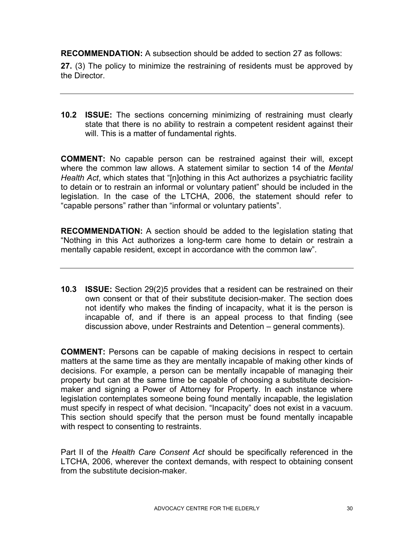**RECOMMENDATION:** A subsection should be added to section 27 as follows:

**27.** (3) The policy to minimize the restraining of residents must be approved by the Director.

**10.2 ISSUE:** The sections concerning minimizing of restraining must clearly state that there is no ability to restrain a competent resident against their will. This is a matter of fundamental rights.

**COMMENT:** No capable person can be restrained against their will, except where the common law allows. A statement similar to section 14 of the *Mental Health Act*, which states that "[n]othing in this Act authorizes a psychiatric facility to detain or to restrain an informal or voluntary patient" should be included in the legislation. In the case of the LTCHA, 2006, the statement should refer to "capable persons" rather than "informal or voluntary patients".

**RECOMMENDATION:** A section should be added to the legislation stating that "Nothing in this Act authorizes a long-term care home to detain or restrain a mentally capable resident, except in accordance with the common law".

**10.3 ISSUE:** Section 29(2)5 provides that a resident can be restrained on their own consent or that of their substitute decision-maker. The section does not identify who makes the finding of incapacity, what it is the person is incapable of, and if there is an appeal process to that finding (see discussion above, under Restraints and Detention – general comments).

**COMMENT:** Persons can be capable of making decisions in respect to certain matters at the same time as they are mentally incapable of making other kinds of decisions. For example, a person can be mentally incapable of managing their property but can at the same time be capable of choosing a substitute decisionmaker and signing a Power of Attorney for Property. In each instance where legislation contemplates someone being found mentally incapable, the legislation must specify in respect of what decision. "Incapacity" does not exist in a vacuum. This section should specify that the person must be found mentally incapable with respect to consenting to restraints.

Part II of the *Health Care Consent Act* should be specifically referenced in the LTCHA, 2006, wherever the context demands, with respect to obtaining consent from the substitute decision-maker.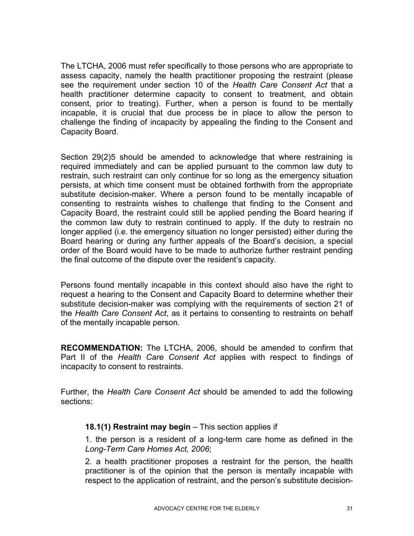The LTCHA, 2006 must refer specifically to those persons who are appropriate to assess capacity, namely the health practitioner proposing the restraint (please see the requirement under section 10 of the *Health Care Consent Act* that a health practitioner determine capacity to consent to treatment, and obtain consent, prior to treating). Further, when a person is found to be mentally incapable, it is crucial that due process be in place to allow the person to challenge the finding of incapacity by appealing the finding to the Consent and Capacity Board.

Section 29(2)5 should be amended to acknowledge that where restraining is required immediately and can be applied pursuant to the common law duty to restrain, such restraint can only continue for so long as the emergency situation persists, at which time consent must be obtained forthwith from the appropriate substitute decision-maker. Where a person found to be mentally incapable of consenting to restraints wishes to challenge that finding to the Consent and Capacity Board, the restraint could still be applied pending the Board hearing if the common law duty to restrain continued to apply. If the duty to restrain no longer applied (i.e. the emergency situation no longer persisted) either during the Board hearing or during any further appeals of the Board's decision, a special order of the Board would have to be made to authorize further restraint pending the final outcome of the dispute over the resident's capacity.

Persons found mentally incapable in this context should also have the right to request a hearing to the Consent and Capacity Board to determine whether their substitute decision-maker was complying with the requirements of section 21 of the *Health Care Consent Act*, as it pertains to consenting to restraints on behalf of the mentally incapable person.

**RECOMMENDATION:** The LTCHA, 2006, should be amended to confirm that Part II of the *Health Care Consent Act* applies with respect to findings of incapacity to consent to restraints.

Further, the *Health Care Consent Act* should be amended to add the following sections:

#### **18.1(1) Restraint may begin** – This section applies if

1. the person is a resident of a long-term care home as defined in the *Long-Term Care Homes Act, 2006*;

2. a health practitioner proposes a restraint for the person, the health practitioner is of the opinion that the person is mentally incapable with respect to the application of restraint, and the person's substitute decision-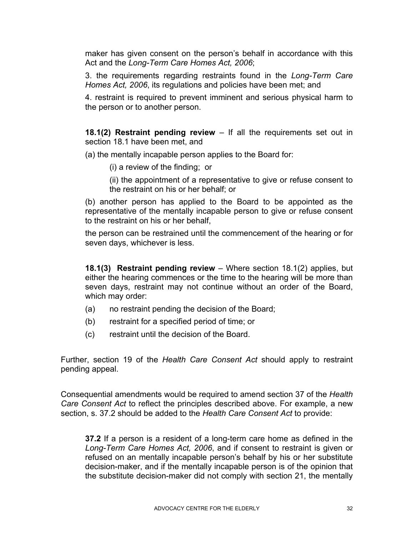maker has given consent on the person's behalf in accordance with this Act and the *Long-Term Care Homes Act, 2006*;

3. the requirements regarding restraints found in the *Long-Term Care Homes Act, 2006*, its regulations and policies have been met; and

4. restraint is required to prevent imminent and serious physical harm to the person or to another person.

**18.1(2) Restraint pending review** – If all the requirements set out in section 18.1 have been met, and

(a) the mentally incapable person applies to the Board for:

(i) a review of the finding; or

(ii) the appointment of a representative to give or refuse consent to the restraint on his or her behalf; or

(b) another person has applied to the Board to be appointed as the representative of the mentally incapable person to give or refuse consent to the restraint on his or her behalf,

the person can be restrained until the commencement of the hearing or for seven days, whichever is less.

**18.1(3) Restraint pending review** – Where section 18.1(2) applies, but either the hearing commences or the time to the hearing will be more than seven days, restraint may not continue without an order of the Board, which may order:

- (a) no restraint pending the decision of the Board;
- (b) restraint for a specified period of time; or
- (c) restraint until the decision of the Board.

Further, section 19 of the *Health Care Consent Act* should apply to restraint pending appeal.

Consequential amendments would be required to amend section 37 of the *Health Care Consent Act* to reflect the principles described above. For example, a new section, s. 37.2 should be added to the *Health Care Consent Act* to provide:

**37.2** If a person is a resident of a long-term care home as defined in the *Long-Term Care Homes Act, 2006*, and if consent to restraint is given or refused on an mentally incapable person's behalf by his or her substitute decision-maker, and if the mentally incapable person is of the opinion that the substitute decision-maker did not comply with section 21, the mentally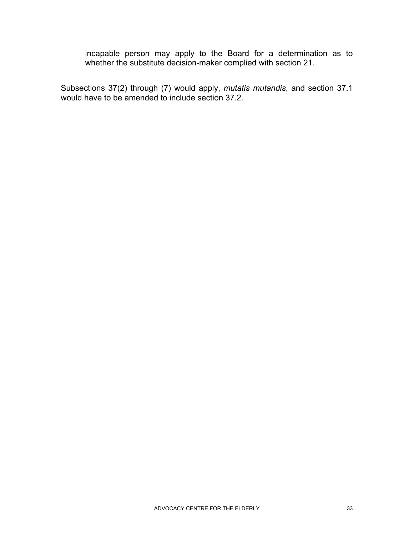incapable person may apply to the Board for a determination as to whether the substitute decision-maker complied with section 21.

Subsections 37(2) through (7) would apply, *mutatis mutandis*, and section 37.1 would have to be amended to include section 37.2.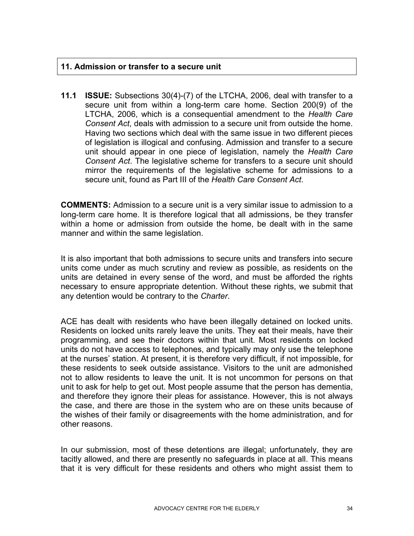#### **11. Admission or transfer to a secure unit**

**11.1 ISSUE:** Subsections 30(4)-(7) of the LTCHA, 2006, deal with transfer to a secure unit from within a long-term care home. Section 200(9) of the LTCHA, 2006, which is a consequential amendment to the *Health Care Consent Act*, deals with admission to a secure unit from outside the home. Having two sections which deal with the same issue in two different pieces of legislation is illogical and confusing. Admission and transfer to a secure unit should appear in one piece of legislation, namely the *Health Care Consent Act*. The legislative scheme for transfers to a secure unit should mirror the requirements of the legislative scheme for admissions to a secure unit, found as Part III of the *Health Care Consent Act*.

**COMMENTS:** Admission to a secure unit is a very similar issue to admission to a long-term care home. It is therefore logical that all admissions, be they transfer within a home or admission from outside the home, be dealt with in the same manner and within the same legislation.

It is also important that both admissions to secure units and transfers into secure units come under as much scrutiny and review as possible, as residents on the units are detained in every sense of the word, and must be afforded the rights necessary to ensure appropriate detention. Without these rights, we submit that any detention would be contrary to the *Charter*.

ACE has dealt with residents who have been illegally detained on locked units. Residents on locked units rarely leave the units. They eat their meals, have their programming, and see their doctors within that unit. Most residents on locked units do not have access to telephones, and typically may only use the telephone at the nurses' station. At present, it is therefore very difficult, if not impossible, for these residents to seek outside assistance. Visitors to the unit are admonished not to allow residents to leave the unit. It is not uncommon for persons on that unit to ask for help to get out. Most people assume that the person has dementia, and therefore they ignore their pleas for assistance. However, this is not always the case, and there are those in the system who are on these units because of the wishes of their family or disagreements with the home administration, and for other reasons.

In our submission, most of these detentions are illegal; unfortunately, they are tacitly allowed, and there are presently no safeguards in place at all. This means that it is very difficult for these residents and others who might assist them to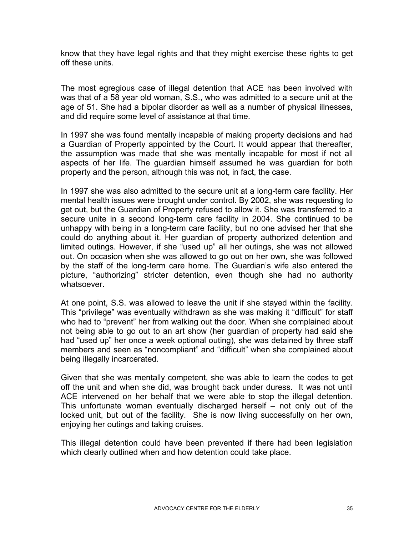know that they have legal rights and that they might exercise these rights to get off these units.

The most egregious case of illegal detention that ACE has been involved with was that of a 58 year old woman, S.S., who was admitted to a secure unit at the age of 51. She had a bipolar disorder as well as a number of physical illnesses, and did require some level of assistance at that time.

In 1997 she was found mentally incapable of making property decisions and had a Guardian of Property appointed by the Court. It would appear that thereafter, the assumption was made that she was mentally incapable for most if not all aspects of her life. The guardian himself assumed he was guardian for both property and the person, although this was not, in fact, the case.

In 1997 she was also admitted to the secure unit at a long-term care facility. Her mental health issues were brought under control. By 2002, she was requesting to get out, but the Guardian of Property refused to allow it. She was transferred to a secure unite in a second long-term care facility in 2004. She continued to be unhappy with being in a long-term care facility, but no one advised her that she could do anything about it. Her guardian of property authorized detention and limited outings. However, if she "used up" all her outings, she was not allowed out. On occasion when she was allowed to go out on her own, she was followed by the staff of the long-term care home. The Guardian's wife also entered the picture, "authorizing" stricter detention, even though she had no authority whatsoever.

At one point, S.S. was allowed to leave the unit if she stayed within the facility. This "privilege" was eventually withdrawn as she was making it "difficult" for staff who had to "prevent" her from walking out the door. When she complained about not being able to go out to an art show (her guardian of property had said she had "used up" her once a week optional outing), she was detained by three staff members and seen as "noncompliant" and "difficult" when she complained about being illegally incarcerated.

Given that she was mentally competent, she was able to learn the codes to get off the unit and when she did, was brought back under duress. It was not until ACE intervened on her behalf that we were able to stop the illegal detention. This unfortunate woman eventually discharged herself – not only out of the locked unit, but out of the facility. She is now living successfully on her own, enjoying her outings and taking cruises.

This illegal detention could have been prevented if there had been legislation which clearly outlined when and how detention could take place.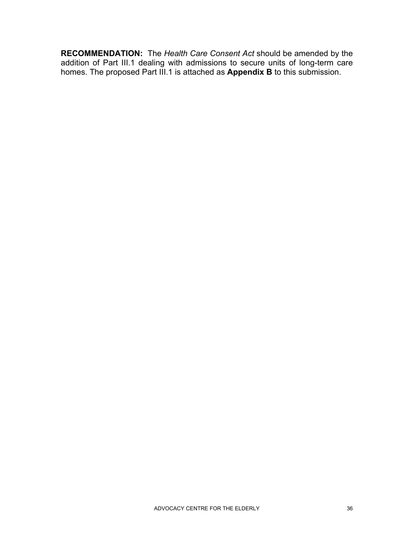**RECOMMENDATION:** The *Health Care Consent Act* should be amended by the addition of Part III.1 dealing with admissions to secure units of long-term care homes. The proposed Part III.1 is attached as **Appendix B** to this submission.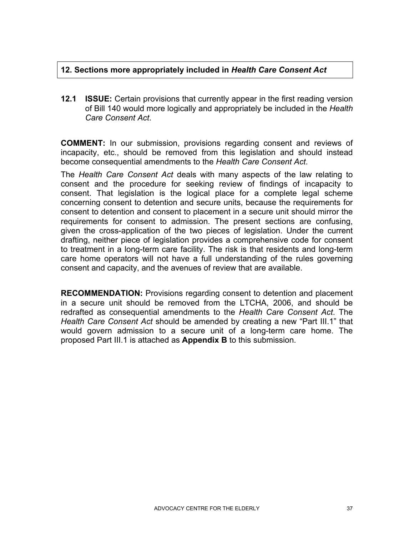# **12. Sections more appropriately included in** *Health Care Consent Act*

**12.1 ISSUE:** Certain provisions that currently appear in the first reading version of Bill 140 would more logically and appropriately be included in the *Health Care Consent Act*.

**COMMENT:** In our submission, provisions regarding consent and reviews of incapacity, etc., should be removed from this legislation and should instead become consequential amendments to the *Health Care Consent Act*.

The *Health Care Consent Act* deals with many aspects of the law relating to consent and the procedure for seeking review of findings of incapacity to consent. That legislation is the logical place for a complete legal scheme concerning consent to detention and secure units, because the requirements for consent to detention and consent to placement in a secure unit should mirror the requirements for consent to admission. The present sections are confusing, given the cross-application of the two pieces of legislation. Under the current drafting, neither piece of legislation provides a comprehensive code for consent to treatment in a long-term care facility. The risk is that residents and long-term care home operators will not have a full understanding of the rules governing consent and capacity, and the avenues of review that are available.

**RECOMMENDATION:** Provisions regarding consent to detention and placement in a secure unit should be removed from the LTCHA, 2006, and should be redrafted as consequential amendments to the *Health Care Consent Act*. The *Health Care Consent Act* should be amended by creating a new "Part III.1" that would govern admission to a secure unit of a long-term care home. The proposed Part III.1 is attached as **Appendix B** to this submission.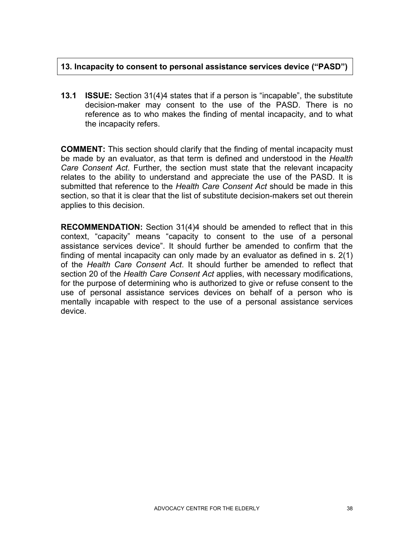# **13. Incapacity to consent to personal assistance services device ("PASD")**

**13.1 ISSUE:** Section 31(4)4 states that if a person is "incapable", the substitute decision-maker may consent to the use of the PASD. There is no reference as to who makes the finding of mental incapacity, and to what the incapacity refers.

**COMMENT:** This section should clarify that the finding of mental incapacity must be made by an evaluator, as that term is defined and understood in the *Health Care Consent Act*. Further, the section must state that the relevant incapacity relates to the ability to understand and appreciate the use of the PASD. It is submitted that reference to the *Health Care Consent Act* should be made in this section, so that it is clear that the list of substitute decision-makers set out therein applies to this decision.

**RECOMMENDATION:** Section 31(4)4 should be amended to reflect that in this context, "capacity" means "capacity to consent to the use of a personal assistance services device". It should further be amended to confirm that the finding of mental incapacity can only made by an evaluator as defined in s. 2(1) of the *Health Care Consent Act*. It should further be amended to reflect that section 20 of the *Health Care Consent Act* applies, with necessary modifications, for the purpose of determining who is authorized to give or refuse consent to the use of personal assistance services devices on behalf of a person who is mentally incapable with respect to the use of a personal assistance services device.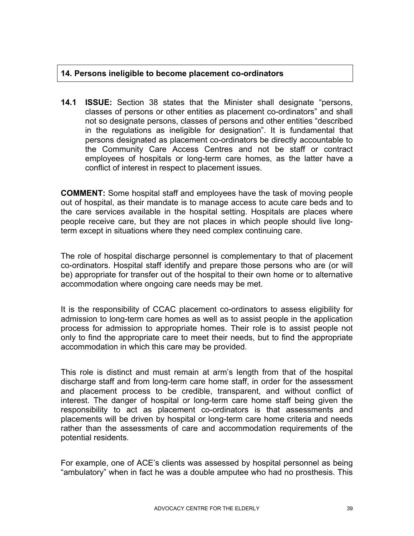## **14. Persons ineligible to become placement co-ordinators**

**14.1 ISSUE:** Section 38 states that the Minister shall designate "persons, classes of persons or other entities as placement co-ordinators" and shall not so designate persons, classes of persons and other entities "described in the regulations as ineligible for designation". It is fundamental that persons designated as placement co-ordinators be directly accountable to the Community Care Access Centres and not be staff or contract employees of hospitals or long-term care homes, as the latter have a conflict of interest in respect to placement issues.

**COMMENT:** Some hospital staff and employees have the task of moving people out of hospital, as their mandate is to manage access to acute care beds and to the care services available in the hospital setting. Hospitals are places where people receive care, but they are not places in which people should live longterm except in situations where they need complex continuing care.

The role of hospital discharge personnel is complementary to that of placement co-ordinators. Hospital staff identify and prepare those persons who are (or will be) appropriate for transfer out of the hospital to their own home or to alternative accommodation where ongoing care needs may be met.

It is the responsibility of CCAC placement co-ordinators to assess eligibility for admission to long-term care homes as well as to assist people in the application process for admission to appropriate homes. Their role is to assist people not only to find the appropriate care to meet their needs, but to find the appropriate accommodation in which this care may be provided.

This role is distinct and must remain at arm's length from that of the hospital discharge staff and from long-term care home staff, in order for the assessment and placement process to be credible, transparent, and without conflict of interest. The danger of hospital or long-term care home staff being given the responsibility to act as placement co-ordinators is that assessments and placements will be driven by hospital or long-term care home criteria and needs rather than the assessments of care and accommodation requirements of the potential residents.

For example, one of ACE's clients was assessed by hospital personnel as being "ambulatory" when in fact he was a double amputee who had no prosthesis. This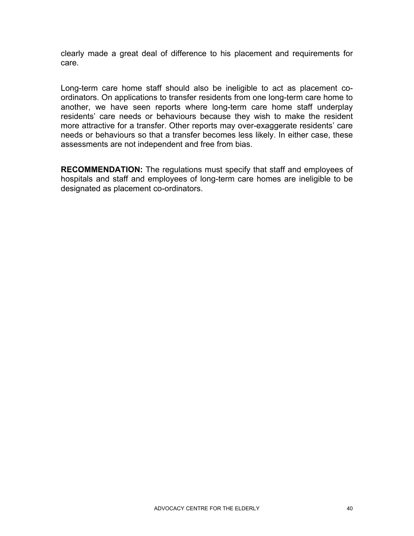clearly made a great deal of difference to his placement and requirements for care.

Long-term care home staff should also be ineligible to act as placement coordinators. On applications to transfer residents from one long-term care home to another, we have seen reports where long-term care home staff underplay residents' care needs or behaviours because they wish to make the resident more attractive for a transfer. Other reports may over-exaggerate residents' care needs or behaviours so that a transfer becomes less likely. In either case, these assessments are not independent and free from bias.

**RECOMMENDATION:** The regulations must specify that staff and employees of hospitals and staff and employees of long-term care homes are ineligible to be designated as placement co-ordinators.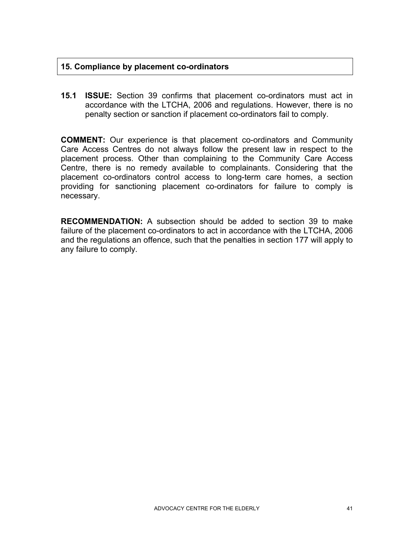## **15. Compliance by placement co-ordinators**

**15.1 ISSUE:** Section 39 confirms that placement co-ordinators must act in accordance with the LTCHA, 2006 and regulations. However, there is no penalty section or sanction if placement co-ordinators fail to comply.

**COMMENT:** Our experience is that placement co-ordinators and Community Care Access Centres do not always follow the present law in respect to the placement process. Other than complaining to the Community Care Access Centre, there is no remedy available to complainants. Considering that the placement co-ordinators control access to long-term care homes, a section providing for sanctioning placement co-ordinators for failure to comply is necessary.

**RECOMMENDATION:** A subsection should be added to section 39 to make failure of the placement co-ordinators to act in accordance with the LTCHA, 2006 and the regulations an offence, such that the penalties in section 177 will apply to any failure to comply.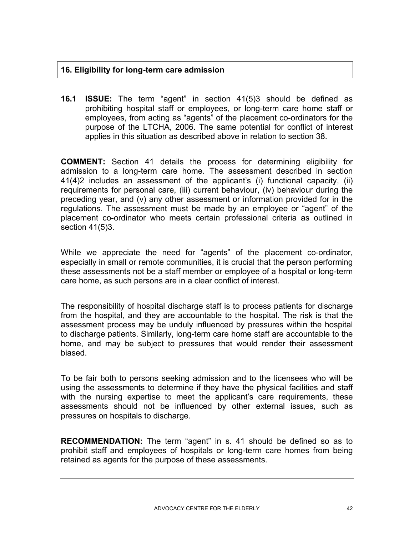# **16. Eligibility for long-term care admission**

**16.1 ISSUE:** The term "agent" in section 41(5)3 should be defined as prohibiting hospital staff or employees, or long-term care home staff or employees, from acting as "agents" of the placement co-ordinators for the purpose of the LTCHA, 2006. The same potential for conflict of interest applies in this situation as described above in relation to section 38.

**COMMENT:** Section 41 details the process for determining eligibility for admission to a long-term care home. The assessment described in section 41(4)2 includes an assessment of the applicant's (i) functional capacity, (ii) requirements for personal care, (iii) current behaviour, (iv) behaviour during the preceding year, and (v) any other assessment or information provided for in the regulations. The assessment must be made by an employee or "agent" of the placement co-ordinator who meets certain professional criteria as outlined in section 41(5)3.

While we appreciate the need for "agents" of the placement co-ordinator, especially in small or remote communities, it is crucial that the person performing these assessments not be a staff member or employee of a hospital or long-term care home, as such persons are in a clear conflict of interest.

The responsibility of hospital discharge staff is to process patients for discharge from the hospital, and they are accountable to the hospital. The risk is that the assessment process may be unduly influenced by pressures within the hospital to discharge patients. Similarly, long-term care home staff are accountable to the home, and may be subject to pressures that would render their assessment biased.

To be fair both to persons seeking admission and to the licensees who will be using the assessments to determine if they have the physical facilities and staff with the nursing expertise to meet the applicant's care requirements, these assessments should not be influenced by other external issues, such as pressures on hospitals to discharge.

**RECOMMENDATION:** The term "agent" in s. 41 should be defined so as to prohibit staff and employees of hospitals or long-term care homes from being retained as agents for the purpose of these assessments.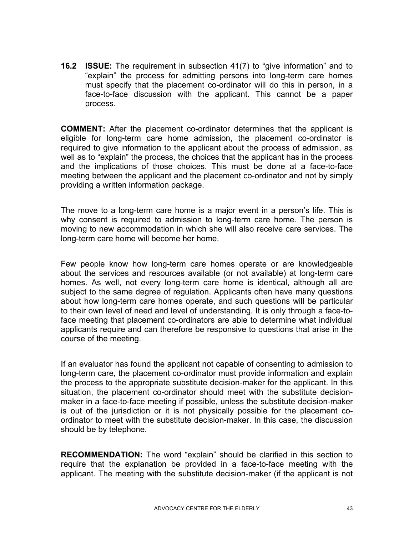**16.2 ISSUE:** The requirement in subsection 41(7) to "give information" and to "explain" the process for admitting persons into long-term care homes must specify that the placement co-ordinator will do this in person, in a face-to-face discussion with the applicant. This cannot be a paper process.

**COMMENT:** After the placement co-ordinator determines that the applicant is eligible for long-term care home admission, the placement co-ordinator is required to give information to the applicant about the process of admission, as well as to "explain" the process, the choices that the applicant has in the process and the implications of those choices. This must be done at a face-to-face meeting between the applicant and the placement co-ordinator and not by simply providing a written information package.

The move to a long-term care home is a major event in a person's life. This is why consent is required to admission to long-term care home. The person is moving to new accommodation in which she will also receive care services. The long-term care home will become her home.

Few people know how long-term care homes operate or are knowledgeable about the services and resources available (or not available) at long-term care homes. As well, not every long-term care home is identical, although all are subject to the same degree of regulation. Applicants often have many questions about how long-term care homes operate, and such questions will be particular to their own level of need and level of understanding. It is only through a face-toface meeting that placement co-ordinators are able to determine what individual applicants require and can therefore be responsive to questions that arise in the course of the meeting.

If an evaluator has found the applicant not capable of consenting to admission to long-term care, the placement co-ordinator must provide information and explain the process to the appropriate substitute decision-maker for the applicant. In this situation, the placement co-ordinator should meet with the substitute decisionmaker in a face-to-face meeting if possible, unless the substitute decision-maker is out of the jurisdiction or it is not physically possible for the placement coordinator to meet with the substitute decision-maker. In this case, the discussion should be by telephone.

**RECOMMENDATION:** The word "explain" should be clarified in this section to require that the explanation be provided in a face-to-face meeting with the applicant. The meeting with the substitute decision-maker (if the applicant is not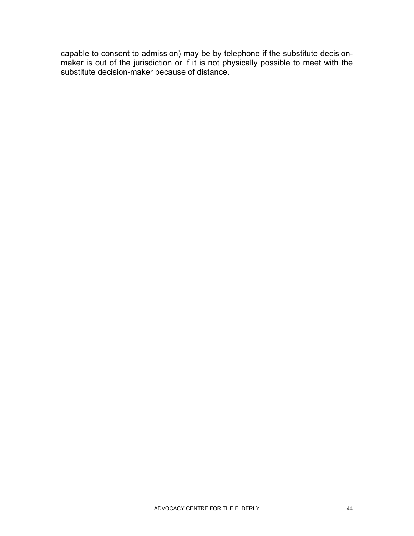capable to consent to admission) may be by telephone if the substitute decisionmaker is out of the jurisdiction or if it is not physically possible to meet with the substitute decision-maker because of distance.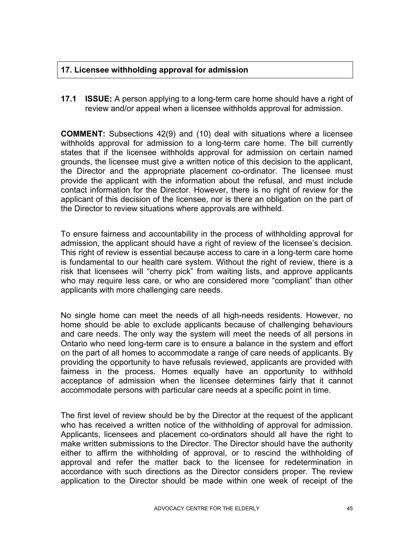# **17. Licensee withholding approval for admission**

**17.1 ISSUE:** A person applying to a long-term care home should have a right of review and/or appeal when a licensee withholds approval for admission.

**COMMENT:** Subsections 42(9) and (10) deal with situations where a licensee withholds approval for admission to a long-term care home. The bill currently states that if the licensee withholds approval for admission on certain named grounds, the licensee must give a written notice of this decision to the applicant, the Director and the appropriate placement co-ordinator. The licensee must provide the applicant with the information about the refusal, and must include contact information for the Director. However, there is no right of review for the applicant of this decision of the licensee, nor is there an obligation on the part of the Director to review situations where approvals are withheld.

To ensure fairness and accountability in the process of withholding approval for admission, the applicant should have a right of review of the licensee's decision. This right of review is essential because access to care in a long-term care home is fundamental to our health care system. Without the right of review, there is a risk that licensees will "cherry pick" from waiting lists, and approve applicants who may require less care, or who are considered more "compliant" than other applicants with more challenging care needs.

No single home can meet the needs of all high-needs residents. However, no home should be able to exclude applicants because of challenging behaviours and care needs. The only way the system will meet the needs of all persons in Ontario who need long-term care is to ensure a balance in the system and effort on the part of all homes to accommodate a range of care needs of applicants. By providing the opportunity to have refusals reviewed, applicants are provided with fairness in the process. Homes equally have an opportunity to withhold acceptance of admission when the licensee determines fairly that it cannot accommodate persons with particular care needs at a specific point in time.

The first level of review should be by the Director at the request of the applicant who has received a written notice of the withholding of approval for admission. Applicants, licensees and placement co-ordinators should all have the right to make written submissions to the Director. The Director should have the authority either to affirm the withholding of approval, or to rescind the withholding of approval and refer the matter back to the licensee for redetermination in accordance with such directions as the Director considers proper. The review application to the Director should be made within one week of receipt of the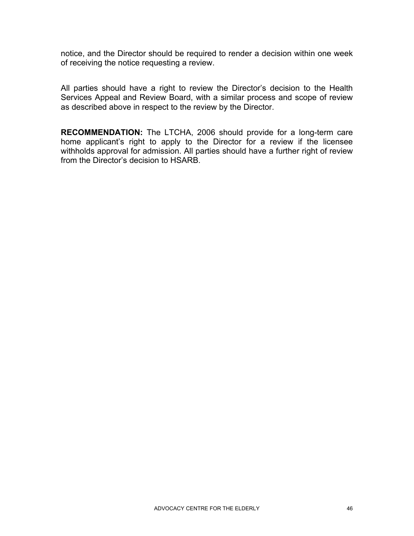notice, and the Director should be required to render a decision within one week of receiving the notice requesting a review.

All parties should have a right to review the Director's decision to the Health Services Appeal and Review Board, with a similar process and scope of review as described above in respect to the review by the Director.

**RECOMMENDATION:** The LTCHA, 2006 should provide for a long-term care home applicant's right to apply to the Director for a review if the licensee withholds approval for admission. All parties should have a further right of review from the Director's decision to HSARB.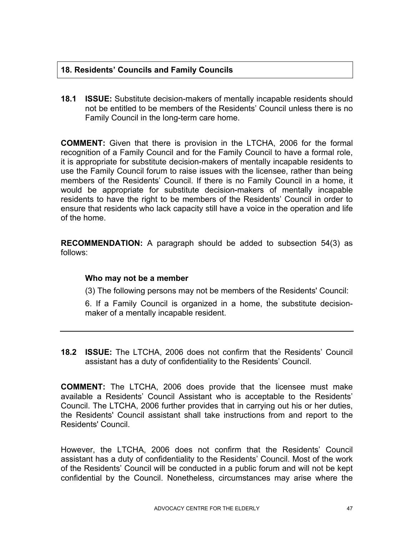# **18. Residents' Councils and Family Councils**

**18.1 ISSUE:** Substitute decision-makers of mentally incapable residents should not be entitled to be members of the Residents' Council unless there is no Family Council in the long-term care home.

**COMMENT:** Given that there is provision in the LTCHA, 2006 for the formal recognition of a Family Council and for the Family Council to have a formal role, it is appropriate for substitute decision-makers of mentally incapable residents to use the Family Council forum to raise issues with the licensee, rather than being members of the Residents' Council. If there is no Family Council in a home, it would be appropriate for substitute decision-makers of mentally incapable residents to have the right to be members of the Residents' Council in order to ensure that residents who lack capacity still have a voice in the operation and life of the home.

**RECOMMENDATION:** A paragraph should be added to subsection 54(3) as follows:

## **Who may not be a member**

(3) The following persons may not be members of the Residents' Council:

6. If a Family Council is organized in a home, the substitute decisionmaker of a mentally incapable resident.

**18.2 ISSUE:** The LTCHA, 2006 does not confirm that the Residents' Council assistant has a duty of confidentiality to the Residents' Council.

**COMMENT:** The LTCHA, 2006 does provide that the licensee must make available a Residents' Council Assistant who is acceptable to the Residents' Council. The LTCHA, 2006 further provides that in carrying out his or her duties, the Residents' Council assistant shall take instructions from and report to the Residents' Council.

However, the LTCHA, 2006 does not confirm that the Residents' Council assistant has a duty of confidentiality to the Residents' Council. Most of the work of the Residents' Council will be conducted in a public forum and will not be kept confidential by the Council. Nonetheless, circumstances may arise where the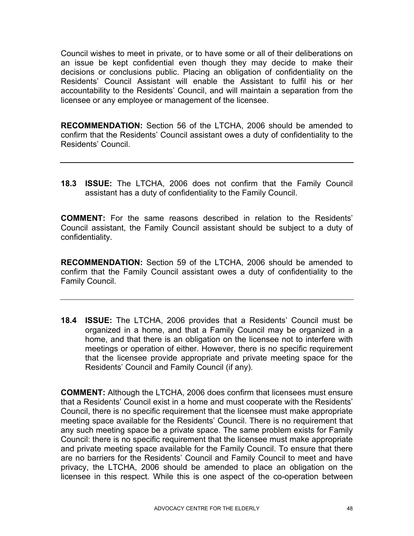Council wishes to meet in private, or to have some or all of their deliberations on an issue be kept confidential even though they may decide to make their decisions or conclusions public. Placing an obligation of confidentiality on the Residents' Council Assistant will enable the Assistant to fulfil his or her accountability to the Residents' Council, and will maintain a separation from the licensee or any employee or management of the licensee.

**RECOMMENDATION:** Section 56 of the LTCHA, 2006 should be amended to confirm that the Residents' Council assistant owes a duty of confidentiality to the Residents' Council.

**18.3 ISSUE:** The LTCHA, 2006 does not confirm that the Family Council assistant has a duty of confidentiality to the Family Council.

**COMMENT:** For the same reasons described in relation to the Residents' Council assistant, the Family Council assistant should be subject to a duty of confidentiality.

**RECOMMENDATION:** Section 59 of the LTCHA, 2006 should be amended to confirm that the Family Council assistant owes a duty of confidentiality to the Family Council.

**18.4 ISSUE:** The LTCHA, 2006 provides that a Residents' Council must be organized in a home, and that a Family Council may be organized in a home, and that there is an obligation on the licensee not to interfere with meetings or operation of either. However, there is no specific requirement that the licensee provide appropriate and private meeting space for the Residents' Council and Family Council (if any).

**COMMENT:** Although the LTCHA, 2006 does confirm that licensees must ensure that a Residents' Council exist in a home and must cooperate with the Residents' Council, there is no specific requirement that the licensee must make appropriate meeting space available for the Residents' Council. There is no requirement that any such meeting space be a private space. The same problem exists for Family Council: there is no specific requirement that the licensee must make appropriate and private meeting space available for the Family Council. To ensure that there are no barriers for the Residents' Council and Family Council to meet and have privacy, the LTCHA, 2006 should be amended to place an obligation on the licensee in this respect. While this is one aspect of the co-operation between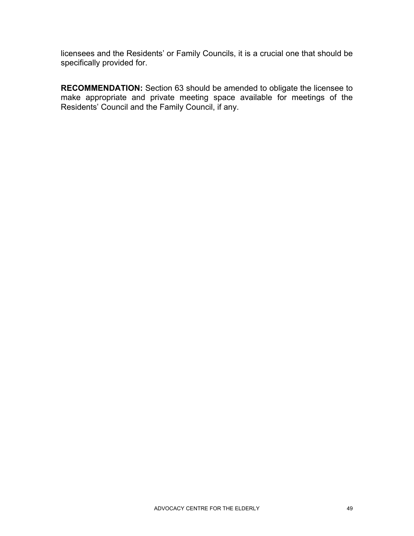licensees and the Residents' or Family Councils, it is a crucial one that should be specifically provided for.

**RECOMMENDATION:** Section 63 should be amended to obligate the licensee to make appropriate and private meeting space available for meetings of the Residents' Council and the Family Council, if any.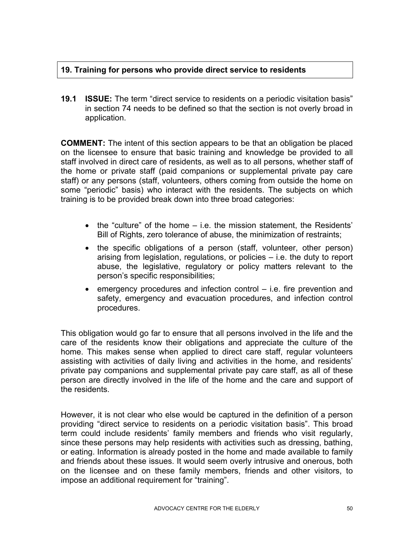# **19. Training for persons who provide direct service to residents**

**19.1 ISSUE:** The term "direct service to residents on a periodic visitation basis" in section 74 needs to be defined so that the section is not overly broad in application.

**COMMENT:** The intent of this section appears to be that an obligation be placed on the licensee to ensure that basic training and knowledge be provided to all staff involved in direct care of residents, as well as to all persons, whether staff of the home or private staff (paid companions or supplemental private pay care staff) or any persons (staff, volunteers, others coming from outside the home on some "periodic" basis) who interact with the residents. The subjects on which training is to be provided break down into three broad categories:

- the "culture" of the home i.e. the mission statement, the Residents' Bill of Rights, zero tolerance of abuse, the minimization of restraints;
- the specific obligations of a person (staff, volunteer, other person) arising from legislation, regulations, or policies – i.e. the duty to report abuse, the legislative, regulatory or policy matters relevant to the person's specific responsibilities;
- emergency procedures and infection control i.e. fire prevention and safety, emergency and evacuation procedures, and infection control procedures.

This obligation would go far to ensure that all persons involved in the life and the care of the residents know their obligations and appreciate the culture of the home. This makes sense when applied to direct care staff, regular volunteers assisting with activities of daily living and activities in the home, and residents' private pay companions and supplemental private pay care staff, as all of these person are directly involved in the life of the home and the care and support of the residents.

However, it is not clear who else would be captured in the definition of a person providing "direct service to residents on a periodic visitation basis". This broad term could include residents' family members and friends who visit regularly, since these persons may help residents with activities such as dressing, bathing, or eating. Information is already posted in the home and made available to family and friends about these issues. It would seem overly intrusive and onerous, both on the licensee and on these family members, friends and other visitors, to impose an additional requirement for "training".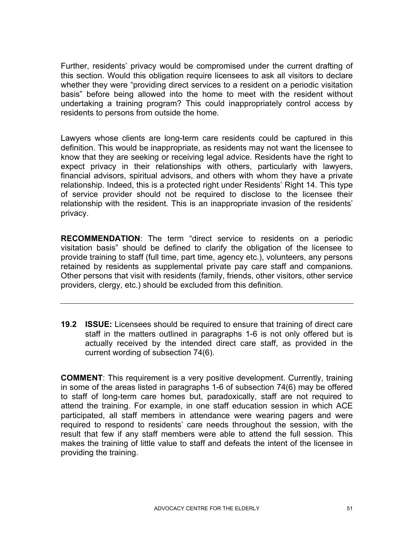Further, residents' privacy would be compromised under the current drafting of this section. Would this obligation require licensees to ask all visitors to declare whether they were "providing direct services to a resident on a periodic visitation basis" before being allowed into the home to meet with the resident without undertaking a training program? This could inappropriately control access by residents to persons from outside the home.

Lawyers whose clients are long-term care residents could be captured in this definition. This would be inappropriate, as residents may not want the licensee to know that they are seeking or receiving legal advice. Residents have the right to expect privacy in their relationships with others, particularly with lawyers, financial advisors, spiritual advisors, and others with whom they have a private relationship. Indeed, this is a protected right under Residents' Right 14. This type of service provider should not be required to disclose to the licensee their relationship with the resident. This is an inappropriate invasion of the residents' privacy.

**RECOMMENDATION**: The term "direct service to residents on a periodic visitation basis" should be defined to clarify the obligation of the licensee to provide training to staff (full time, part time, agency etc.), volunteers, any persons retained by residents as supplemental private pay care staff and companions. Other persons that visit with residents (family, friends, other visitors, other service providers, clergy, etc.) should be excluded from this definition.

**19.2 ISSUE:** Licensees should be required to ensure that training of direct care staff in the matters outlined in paragraphs 1-6 is not only offered but is actually received by the intended direct care staff, as provided in the current wording of subsection 74(6).

**COMMENT**: This requirement is a very positive development. Currently, training in some of the areas listed in paragraphs 1-6 of subsection 74(6) may be offered to staff of long-term care homes but, paradoxically, staff are not required to attend the training. For example, in one staff education session in which ACE participated, all staff members in attendance were wearing pagers and were required to respond to residents' care needs throughout the session, with the result that few if any staff members were able to attend the full session. This makes the training of little value to staff and defeats the intent of the licensee in providing the training.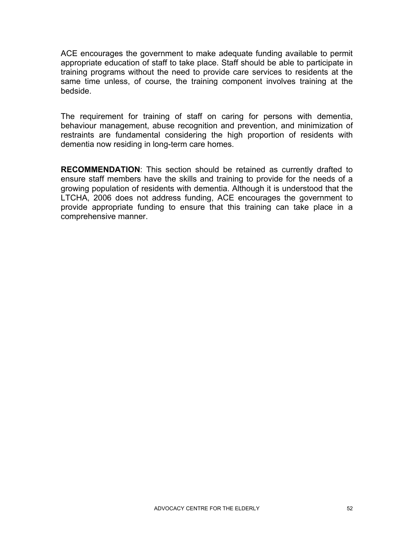ACE encourages the government to make adequate funding available to permit appropriate education of staff to take place. Staff should be able to participate in training programs without the need to provide care services to residents at the same time unless, of course, the training component involves training at the bedside.

The requirement for training of staff on caring for persons with dementia, behaviour management, abuse recognition and prevention, and minimization of restraints are fundamental considering the high proportion of residents with dementia now residing in long-term care homes.

**RECOMMENDATION**: This section should be retained as currently drafted to ensure staff members have the skills and training to provide for the needs of a growing population of residents with dementia. Although it is understood that the LTCHA, 2006 does not address funding, ACE encourages the government to provide appropriate funding to ensure that this training can take place in a comprehensive manner.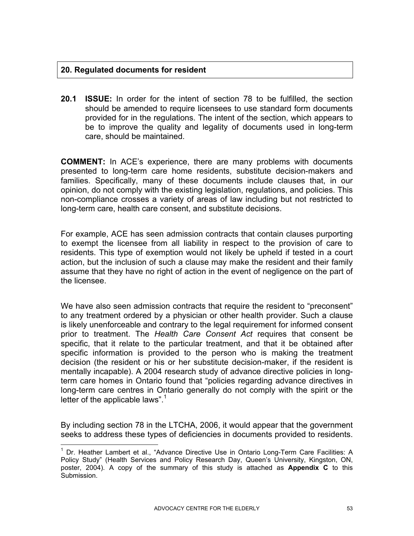## **20. Regulated documents for resident**

1

**20.1 ISSUE:** In order for the intent of section 78 to be fulfilled, the section should be amended to require licensees to use standard form documents provided for in the regulations. The intent of the section, which appears to be to improve the quality and legality of documents used in long-term care, should be maintained.

**COMMENT:** In ACE's experience, there are many problems with documents presented to long-term care home residents, substitute decision-makers and families. Specifically, many of these documents include clauses that, in our opinion, do not comply with the existing legislation, regulations, and policies. This non-compliance crosses a variety of areas of law including but not restricted to long-term care, health care consent, and substitute decisions.

For example, ACE has seen admission contracts that contain clauses purporting to exempt the licensee from all liability in respect to the provision of care to residents. This type of exemption would not likely be upheld if tested in a court action, but the inclusion of such a clause may make the resident and their family assume that they have no right of action in the event of negligence on the part of the licensee.

We have also seen admission contracts that require the resident to "preconsent" to any treatment ordered by a physician or other health provider. Such a clause is likely unenforceable and contrary to the legal requirement for informed consent prior to treatment. The *Health Care Consent Act* requires that consent be specific, that it relate to the particular treatment, and that it be obtained after specific information is provided to the person who is making the treatment decision (the resident or his or her substitute decision-maker, if the resident is mentally incapable). A 2004 research study of advance directive policies in longterm care homes in Ontario found that "policies regarding advance directives in long-term care centres in Ontario generally do not comply with the spirit or the letter of the applicable laws".<sup>1</sup>

By including section 78 in the LTCHA, 2006, it would appear that the government seeks to address these types of deficiencies in documents provided to residents.

<sup>&</sup>lt;sup>1</sup> Dr. Heather Lambert et al., "Advance Directive Use in Ontario Long-Term Care Facilities: A Policy Study" (Health Services and Policy Research Day, Queen's University, Kingston, ON, poster, 2004). A copy of the summary of this study is attached as **Appendix C** to this Submission.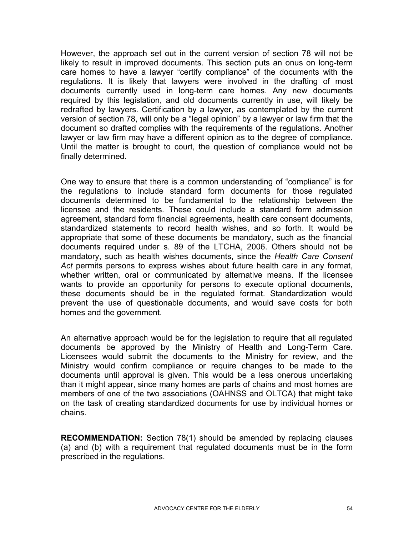However, the approach set out in the current version of section 78 will not be likely to result in improved documents. This section puts an onus on long-term care homes to have a lawyer "certify compliance" of the documents with the regulations. It is likely that lawyers were involved in the drafting of most documents currently used in long-term care homes. Any new documents required by this legislation, and old documents currently in use, will likely be redrafted by lawyers. Certification by a lawyer, as contemplated by the current version of section 78, will only be a "legal opinion" by a lawyer or law firm that the document so drafted complies with the requirements of the regulations. Another lawyer or law firm may have a different opinion as to the degree of compliance. Until the matter is brought to court, the question of compliance would not be finally determined.

One way to ensure that there is a common understanding of "compliance" is for the regulations to include standard form documents for those regulated documents determined to be fundamental to the relationship between the licensee and the residents. These could include a standard form admission agreement, standard form financial agreements, health care consent documents, standardized statements to record health wishes, and so forth. It would be appropriate that some of these documents be mandatory, such as the financial documents required under s. 89 of the LTCHA, 2006. Others should not be mandatory, such as health wishes documents, since the *Health Care Consent Act* permits persons to express wishes about future health care in any format, whether written, oral or communicated by alternative means. If the licensee wants to provide an opportunity for persons to execute optional documents, these documents should be in the regulated format. Standardization would prevent the use of questionable documents, and would save costs for both homes and the government.

An alternative approach would be for the legislation to require that all regulated documents be approved by the Ministry of Health and Long-Term Care. Licensees would submit the documents to the Ministry for review, and the Ministry would confirm compliance or require changes to be made to the documents until approval is given. This would be a less onerous undertaking than it might appear, since many homes are parts of chains and most homes are members of one of the two associations (OAHNSS and OLTCA) that might take on the task of creating standardized documents for use by individual homes or chains.

**RECOMMENDATION:** Section 78(1) should be amended by replacing clauses (a) and (b) with a requirement that regulated documents must be in the form prescribed in the regulations.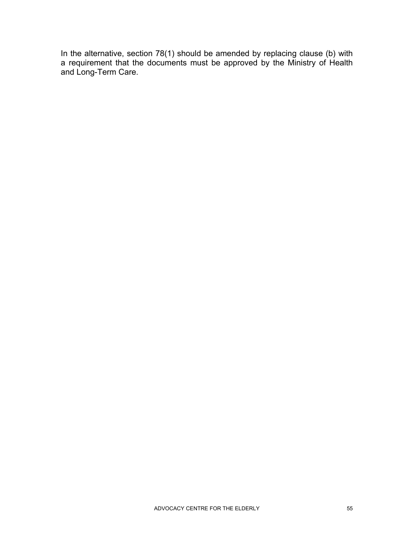In the alternative, section 78(1) should be amended by replacing clause (b) with a requirement that the documents must be approved by the Ministry of Health and Long-Term Care.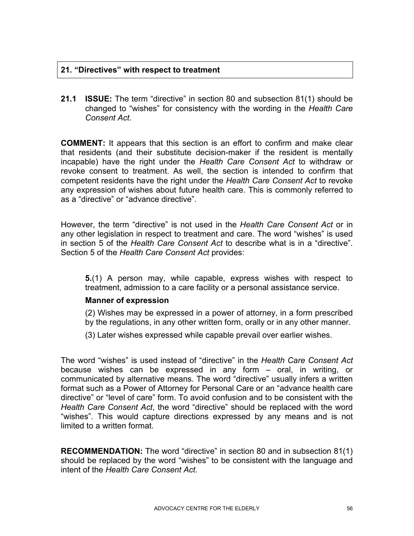## **21. "Directives" with respect to treatment**

**21.1 ISSUE:** The term "directive" in section 80 and subsection 81(1) should be changed to "wishes" for consistency with the wording in the *Health Care Consent Act*.

**COMMENT:** It appears that this section is an effort to confirm and make clear that residents (and their substitute decision-maker if the resident is mentally incapable) have the right under the *Health Care Consent Act* to withdraw or revoke consent to treatment. As well, the section is intended to confirm that competent residents have the right under the *Health Care Consent Act* to revoke any expression of wishes about future health care. This is commonly referred to as a "directive" or "advance directive".

However, the term "directive" is not used in the *Health Care Consent Act* or in any other legislation in respect to treatment and care. The word "wishes" is used in section 5 of the *Health Care Consent Act* to describe what is in a "directive". Section 5 of the *Health Care Consent Act* provides:

**5.**(1) A person may, while capable, express wishes with respect to treatment, admission to a care facility or a personal assistance service.

#### **Manner of expression**

- (2) Wishes may be expressed in a power of attorney, in a form prescribed by the regulations, in any other written form, orally or in any other manner.
- (3) Later wishes expressed while capable prevail over earlier wishes.

The word "wishes" is used instead of "directive" in the *Health Care Consent Act*  because wishes can be expressed in any form – oral, in writing, or communicated by alternative means. The word "directive" usually infers a written format such as a Power of Attorney for Personal Care or an "advance health care directive" or "level of care" form. To avoid confusion and to be consistent with the *Health Care Consent Act*, the word "directive" should be replaced with the word "wishes". This would capture directions expressed by any means and is not limited to a written format.

**RECOMMENDATION:** The word "directive" in section 80 and in subsection 81(1) should be replaced by the word "wishes" to be consistent with the language and intent of the *Health Care Consent Act*.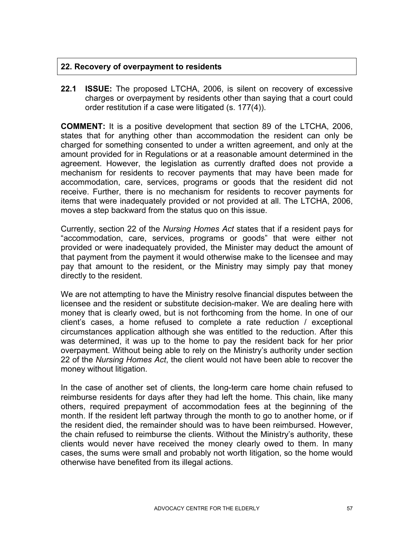## **22. Recovery of overpayment to residents**

**22.1 ISSUE:** The proposed LTCHA, 2006, is silent on recovery of excessive charges or overpayment by residents other than saying that a court could order restitution if a case were litigated (s. 177(4)).

**COMMENT:** It is a positive development that section 89 of the LTCHA, 2006, states that for anything other than accommodation the resident can only be charged for something consented to under a written agreement, and only at the amount provided for in Regulations or at a reasonable amount determined in the agreement. However, the legislation as currently drafted does not provide a mechanism for residents to recover payments that may have been made for accommodation, care, services, programs or goods that the resident did not receive. Further, there is no mechanism for residents to recover payments for items that were inadequately provided or not provided at all. The LTCHA, 2006, moves a step backward from the status quo on this issue.

Currently, section 22 of the *Nursing Homes Act* states that if a resident pays for "accommodation, care, services, programs or goods" that were either not provided or were inadequately provided, the Minister may deduct the amount of that payment from the payment it would otherwise make to the licensee and may pay that amount to the resident, or the Ministry may simply pay that money directly to the resident.

We are not attempting to have the Ministry resolve financial disputes between the licensee and the resident or substitute decision-maker. We are dealing here with money that is clearly owed, but is not forthcoming from the home. In one of our client's cases, a home refused to complete a rate reduction / exceptional circumstances application although she was entitled to the reduction. After this was determined, it was up to the home to pay the resident back for her prior overpayment. Without being able to rely on the Ministry's authority under section 22 of the *Nursing Homes Act*, the client would not have been able to recover the money without litigation.

In the case of another set of clients, the long-term care home chain refused to reimburse residents for days after they had left the home. This chain, like many others, required prepayment of accommodation fees at the beginning of the month. If the resident left partway through the month to go to another home, or if the resident died, the remainder should was to have been reimbursed. However, the chain refused to reimburse the clients. Without the Ministry's authority, these clients would never have received the money clearly owed to them. In many cases, the sums were small and probably not worth litigation, so the home would otherwise have benefited from its illegal actions.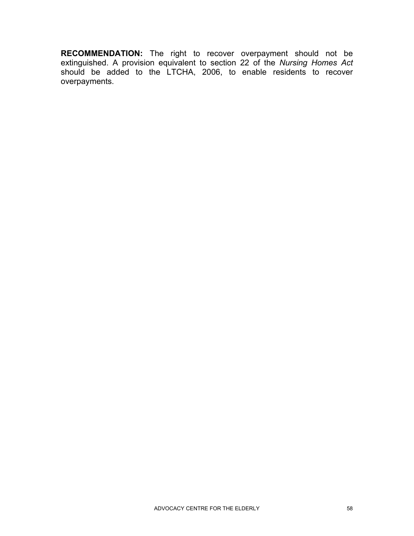**RECOMMENDATION:** The right to recover overpayment should not be extinguished. A provision equivalent to section 22 of the *Nursing Homes Act*  should be added to the LTCHA, 2006, to enable residents to recover overpayments.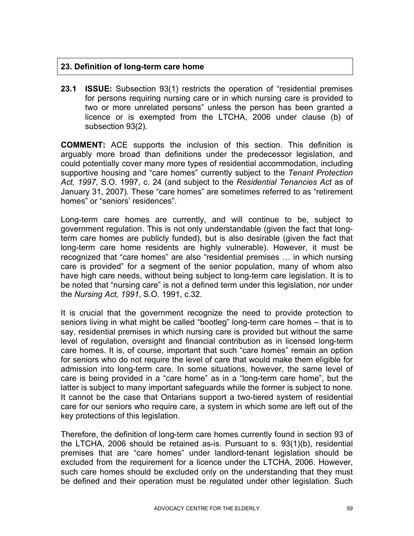## **23. Definition of long-term care home**

**23.1 ISSUE:** Subsection 93(1) restricts the operation of "residential premises for persons requiring nursing care or in which nursing care is provided to two or more unrelated persons" unless the person has been granted a licence or is exempted from the LTCHA, 2006 under clause (b) of subsection 93(2).

**COMMENT:** ACE supports the inclusion of this section. This definition is arguably more broad than definitions under the predecessor legislation, and could potentially cover many more types of residential accommodation, including supportive housing and "care homes" currently subject to the *Tenant Protection Act, 1997*, S.O. 1997, c. 24 (and subject to the *Residential Tenancies Act* as of January 31, 2007). These "care homes" are sometimes referred to as "retirement homes" or "seniors' residences".

Long-term care homes are currently, and will continue to be, subject to government regulation. This is not only understandable (given the fact that longterm care homes are publicly funded), but is also desirable (given the fact that long-term care home residents are highly vulnerable). However, it must be recognized that "care homes" are also "residential premises … in which nursing care is provided" for a segment of the senior population, many of whom also have high care needs, without being subject to long-term care legislation. It is to be noted that "nursing care" is not a defined term under this legislation, nor under the *Nursing Act, 1991*, S.O. 1991, c.32.

It is crucial that the government recognize the need to provide protection to seniors living in what might be called "bootleg" long-term care homes – that is to say, residential premises in which nursing care is provided but without the same level of regulation, oversight and financial contribution as in licensed long-term care homes. It is, of course, important that such "care homes" remain an option for seniors who do not require the level of care that would make them eligible for admission into long-term care. In some situations, however, the same level of care is being provided in a "care home" as in a "long-term care home", but the latter is subject to many important safeguards while the former is subject to none. It cannot be the case that Ontarians support a two-tiered system of residential care for our seniors who require care, a system in which some are left out of the key protections of this legislation.

Therefore, the definition of long-term care homes currently found in section 93 of the LTCHA, 2006 should be retained as-is. Pursuant to s. 93(1)(b), residential premises that are "care homes" under landlord-tenant legislation should be excluded from the requirement for a licence under the LTCHA, 2006. However, such care homes should be excluded only on the understanding that they must be defined and their operation must be regulated under other legislation. Such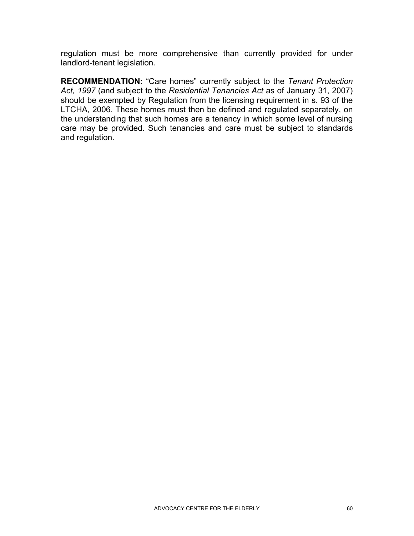regulation must be more comprehensive than currently provided for under landlord-tenant legislation.

**RECOMMENDATION:** "Care homes" currently subject to the *Tenant Protection Act, 1997* (and subject to the *Residential Tenancies Act* as of January 31, 2007) should be exempted by Regulation from the licensing requirement in s. 93 of the LTCHA, 2006. These homes must then be defined and regulated separately, on the understanding that such homes are a tenancy in which some level of nursing care may be provided. Such tenancies and care must be subject to standards and regulation.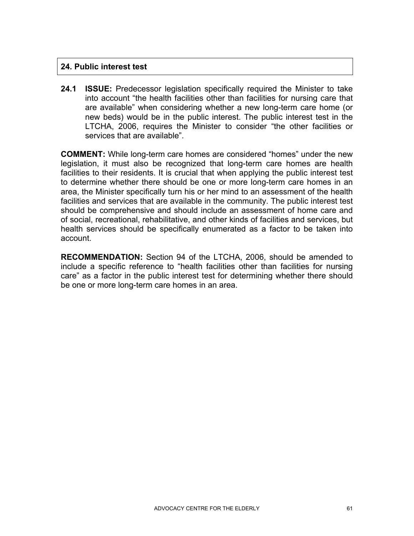## **24. Public interest test**

**24.1 ISSUE:** Predecessor legislation specifically required the Minister to take into account "the health facilities other than facilities for nursing care that are available" when considering whether a new long-term care home (or new beds) would be in the public interest. The public interest test in the LTCHA, 2006, requires the Minister to consider "the other facilities or services that are available".

**COMMENT:** While long-term care homes are considered "homes" under the new legislation, it must also be recognized that long-term care homes are health facilities to their residents. It is crucial that when applying the public interest test to determine whether there should be one or more long-term care homes in an area, the Minister specifically turn his or her mind to an assessment of the health facilities and services that are available in the community. The public interest test should be comprehensive and should include an assessment of home care and of social, recreational, rehabilitative, and other kinds of facilities and services, but health services should be specifically enumerated as a factor to be taken into account.

**RECOMMENDATION:** Section 94 of the LTCHA, 2006, should be amended to include a specific reference to "health facilities other than facilities for nursing care" as a factor in the public interest test for determining whether there should be one or more long-term care homes in an area.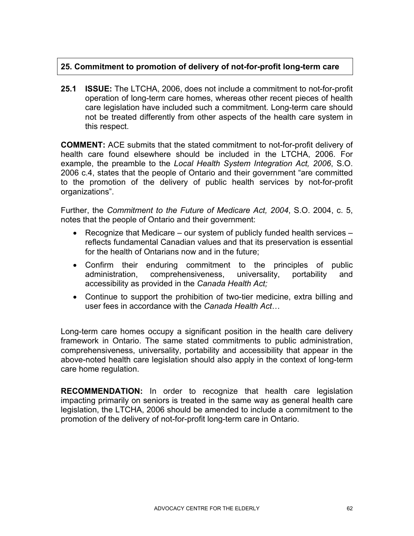# **25. Commitment to promotion of delivery of not-for-profit long-term care**

**25.1 ISSUE:** The LTCHA, 2006, does not include a commitment to not-for-profit operation of long-term care homes, whereas other recent pieces of health care legislation have included such a commitment. Long-term care should not be treated differently from other aspects of the health care system in this respect.

**COMMENT:** ACE submits that the stated commitment to not-for-profit delivery of health care found elsewhere should be included in the LTCHA, 2006. For example, the preamble to the *Local Health System Integration Act, 2006*, S.O. 2006 c.4, states that the people of Ontario and their government "are committed to the promotion of the delivery of public health services by not-for-profit organizations".

Further, the *Commitment to the Future of Medicare Act, 2004*, S.O. 2004, c. 5, notes that the people of Ontario and their government:

- Recognize that Medicare our system of publicly funded health services reflects fundamental Canadian values and that its preservation is essential for the health of Ontarians now and in the future;
- Confirm their enduring commitment to the principles of public administration, comprehensiveness, universality, portability and accessibility as provided in the *Canada Health Act;*
- Continue to support the prohibition of two-tier medicine, extra billing and user fees in accordance with the *Canada Health Act*…

Long-term care homes occupy a significant position in the health care delivery framework in Ontario. The same stated commitments to public administration, comprehensiveness, universality, portability and accessibility that appear in the above-noted health care legislation should also apply in the context of long-term care home regulation.

**RECOMMENDATION:** In order to recognize that health care legislation impacting primarily on seniors is treated in the same way as general health care legislation, the LTCHA, 2006 should be amended to include a commitment to the promotion of the delivery of not-for-profit long-term care in Ontario.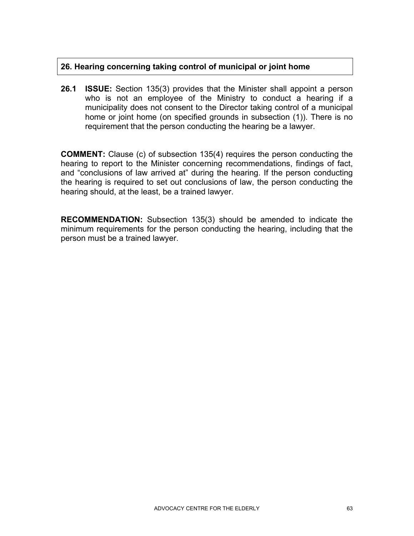# **26. Hearing concerning taking control of municipal or joint home**

**26.1 ISSUE:** Section 135(3) provides that the Minister shall appoint a person who is not an employee of the Ministry to conduct a hearing if a municipality does not consent to the Director taking control of a municipal home or joint home (on specified grounds in subsection (1)). There is no requirement that the person conducting the hearing be a lawyer.

**COMMENT:** Clause (c) of subsection 135(4) requires the person conducting the hearing to report to the Minister concerning recommendations, findings of fact, and "conclusions of law arrived at" during the hearing. If the person conducting the hearing is required to set out conclusions of law, the person conducting the hearing should, at the least, be a trained lawyer.

**RECOMMENDATION:** Subsection 135(3) should be amended to indicate the minimum requirements for the person conducting the hearing, including that the person must be a trained lawyer.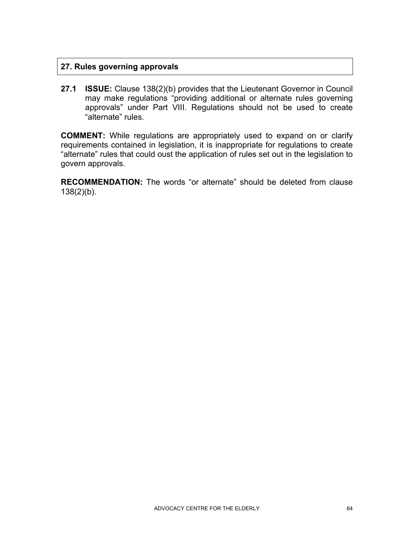## **27. Rules governing approvals**

**27.1 ISSUE:** Clause 138(2)(b) provides that the Lieutenant Governor in Council may make regulations "providing additional or alternate rules governing approvals" under Part VIII. Regulations should not be used to create "alternate" rules.

**COMMENT:** While regulations are appropriately used to expand on or clarify requirements contained in legislation, it is inappropriate for regulations to create "alternate" rules that could oust the application of rules set out in the legislation to govern approvals.

**RECOMMENDATION:** The words "or alternate" should be deleted from clause  $138(2)(b)$ .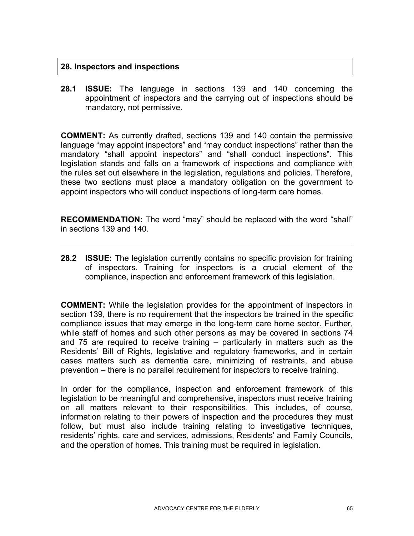## **28. Inspectors and inspections**

**28.1 ISSUE:** The language in sections 139 and 140 concerning the appointment of inspectors and the carrying out of inspections should be mandatory, not permissive.

**COMMENT:** As currently drafted, sections 139 and 140 contain the permissive language "may appoint inspectors" and "may conduct inspections" rather than the mandatory "shall appoint inspectors" and "shall conduct inspections". This legislation stands and falls on a framework of inspections and compliance with the rules set out elsewhere in the legislation, regulations and policies. Therefore, these two sections must place a mandatory obligation on the government to appoint inspectors who will conduct inspections of long-term care homes.

**RECOMMENDATION:** The word "may" should be replaced with the word "shall" in sections 139 and 140.

**28.2 ISSUE:** The legislation currently contains no specific provision for training of inspectors. Training for inspectors is a crucial element of the compliance, inspection and enforcement framework of this legislation.

**COMMENT:** While the legislation provides for the appointment of inspectors in section 139, there is no requirement that the inspectors be trained in the specific compliance issues that may emerge in the long-term care home sector. Further, while staff of homes and such other persons as may be covered in sections 74 and 75 are required to receive training – particularly in matters such as the Residents' Bill of Rights, legislative and regulatory frameworks, and in certain cases matters such as dementia care, minimizing of restraints, and abuse prevention – there is no parallel requirement for inspectors to receive training.

In order for the compliance, inspection and enforcement framework of this legislation to be meaningful and comprehensive, inspectors must receive training on all matters relevant to their responsibilities. This includes, of course, information relating to their powers of inspection and the procedures they must follow, but must also include training relating to investigative techniques, residents' rights, care and services, admissions, Residents' and Family Councils, and the operation of homes. This training must be required in legislation.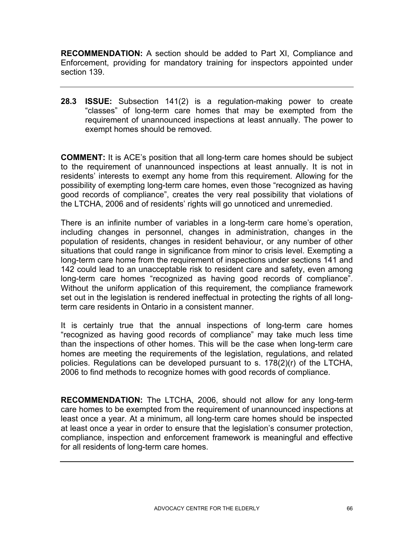**RECOMMENDATION:** A section should be added to Part XI, Compliance and Enforcement, providing for mandatory training for inspectors appointed under section 139.

**28.3 ISSUE:** Subsection 141(2) is a regulation-making power to create "classes" of long-term care homes that may be exempted from the requirement of unannounced inspections at least annually. The power to exempt homes should be removed.

**COMMENT:** It is ACE's position that all long-term care homes should be subject to the requirement of unannounced inspections at least annually. It is not in residents' interests to exempt any home from this requirement. Allowing for the possibility of exempting long-term care homes, even those "recognized as having good records of compliance", creates the very real possibility that violations of the LTCHA, 2006 and of residents' rights will go unnoticed and unremedied.

There is an infinite number of variables in a long-term care home's operation, including changes in personnel, changes in administration, changes in the population of residents, changes in resident behaviour, or any number of other situations that could range in significance from minor to crisis level. Exempting a long-term care home from the requirement of inspections under sections 141 and 142 could lead to an unacceptable risk to resident care and safety, even among long-term care homes "recognized as having good records of compliance". Without the uniform application of this requirement, the compliance framework set out in the legislation is rendered ineffectual in protecting the rights of all longterm care residents in Ontario in a consistent manner.

It is certainly true that the annual inspections of long-term care homes "recognized as having good records of compliance" may take much less time than the inspections of other homes. This will be the case when long-term care homes are meeting the requirements of the legislation, regulations, and related policies. Regulations can be developed pursuant to s. 178(2)(r) of the LTCHA, 2006 to find methods to recognize homes with good records of compliance.

**RECOMMENDATION:** The LTCHA, 2006, should not allow for any long-term care homes to be exempted from the requirement of unannounced inspections at least once a year. At a minimum, all long-term care homes should be inspected at least once a year in order to ensure that the legislation's consumer protection, compliance, inspection and enforcement framework is meaningful and effective for all residents of long-term care homes.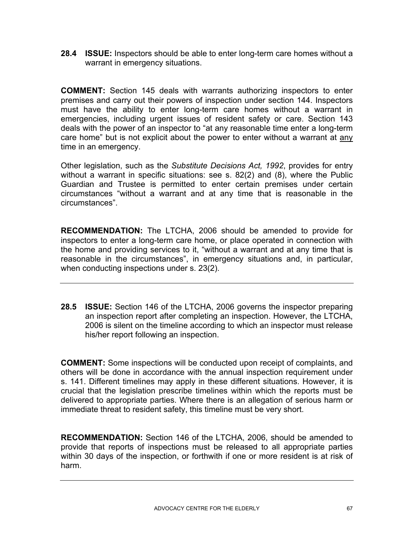**28.4 ISSUE:** Inspectors should be able to enter long-term care homes without a warrant in emergency situations.

**COMMENT:** Section 145 deals with warrants authorizing inspectors to enter premises and carry out their powers of inspection under section 144. Inspectors must have the ability to enter long-term care homes without a warrant in emergencies, including urgent issues of resident safety or care. Section 143 deals with the power of an inspector to "at any reasonable time enter a long-term care home" but is not explicit about the power to enter without a warrant at any time in an emergency.

Other legislation, such as the *Substitute Decisions Act, 1992*, provides for entry without a warrant in specific situations: see s. 82(2) and (8), where the Public Guardian and Trustee is permitted to enter certain premises under certain circumstances "without a warrant and at any time that is reasonable in the circumstances".

**RECOMMENDATION:** The LTCHA, 2006 should be amended to provide for inspectors to enter a long-term care home, or place operated in connection with the home and providing services to it, "without a warrant and at any time that is reasonable in the circumstances", in emergency situations and, in particular, when conducting inspections under s. 23(2).

**28.5 ISSUE:** Section 146 of the LTCHA, 2006 governs the inspector preparing an inspection report after completing an inspection. However, the LTCHA, 2006 is silent on the timeline according to which an inspector must release his/her report following an inspection.

**COMMENT:** Some inspections will be conducted upon receipt of complaints, and others will be done in accordance with the annual inspection requirement under s. 141. Different timelines may apply in these different situations. However, it is crucial that the legislation prescribe timelines within which the reports must be delivered to appropriate parties. Where there is an allegation of serious harm or immediate threat to resident safety, this timeline must be very short.

**RECOMMENDATION:** Section 146 of the LTCHA, 2006, should be amended to provide that reports of inspections must be released to all appropriate parties within 30 days of the inspection, or forthwith if one or more resident is at risk of harm.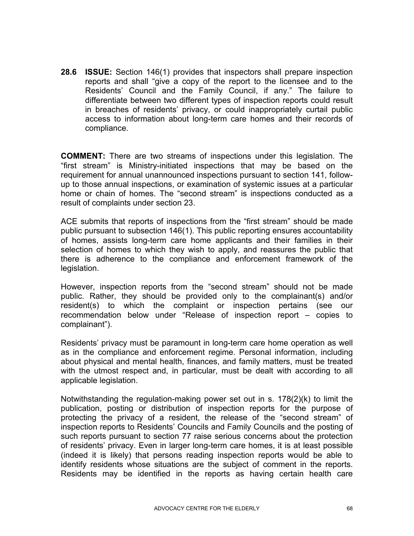**28.6 ISSUE:** Section 146(1) provides that inspectors shall prepare inspection reports and shall "give a copy of the report to the licensee and to the Residents' Council and the Family Council, if any." The failure to differentiate between two different types of inspection reports could result in breaches of residents' privacy, or could inappropriately curtail public access to information about long-term care homes and their records of compliance.

**COMMENT:** There are two streams of inspections under this legislation. The "first stream" is Ministry-initiated inspections that may be based on the requirement for annual unannounced inspections pursuant to section 141, followup to those annual inspections, or examination of systemic issues at a particular home or chain of homes. The "second stream" is inspections conducted as a result of complaints under section 23.

ACE submits that reports of inspections from the "first stream" should be made public pursuant to subsection 146(1). This public reporting ensures accountability of homes, assists long-term care home applicants and their families in their selection of homes to which they wish to apply, and reassures the public that there is adherence to the compliance and enforcement framework of the legislation.

However, inspection reports from the "second stream" should not be made public. Rather, they should be provided only to the complainant(s) and/or resident(s) to which the complaint or inspection pertains (see our recommendation below under "Release of inspection report – copies to complainant").

Residents' privacy must be paramount in long-term care home operation as well as in the compliance and enforcement regime. Personal information, including about physical and mental health, finances, and family matters, must be treated with the utmost respect and, in particular, must be dealt with according to all applicable legislation.

Notwithstanding the regulation-making power set out in s. 178(2)(k) to limit the publication, posting or distribution of inspection reports for the purpose of protecting the privacy of a resident, the release of the "second stream" of inspection reports to Residents' Councils and Family Councils and the posting of such reports pursuant to section 77 raise serious concerns about the protection of residents' privacy. Even in larger long-term care homes, it is at least possible (indeed it is likely) that persons reading inspection reports would be able to identify residents whose situations are the subject of comment in the reports. Residents may be identified in the reports as having certain health care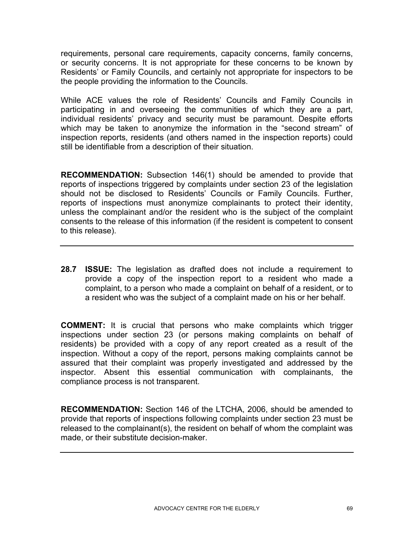requirements, personal care requirements, capacity concerns, family concerns, or security concerns. It is not appropriate for these concerns to be known by Residents' or Family Councils, and certainly not appropriate for inspectors to be the people providing the information to the Councils.

While ACE values the role of Residents' Councils and Family Councils in participating in and overseeing the communities of which they are a part, individual residents' privacy and security must be paramount. Despite efforts which may be taken to anonymize the information in the "second stream" of inspection reports, residents (and others named in the inspection reports) could still be identifiable from a description of their situation.

**RECOMMENDATION:** Subsection 146(1) should be amended to provide that reports of inspections triggered by complaints under section 23 of the legislation should not be disclosed to Residents' Councils or Family Councils. Further, reports of inspections must anonymize complainants to protect their identity, unless the complainant and/or the resident who is the subject of the complaint consents to the release of this information (if the resident is competent to consent to this release).

**28.7 ISSUE:** The legislation as drafted does not include a requirement to provide a copy of the inspection report to a resident who made a complaint, to a person who made a complaint on behalf of a resident, or to a resident who was the subject of a complaint made on his or her behalf.

**COMMENT:** It is crucial that persons who make complaints which trigger inspections under section 23 (or persons making complaints on behalf of residents) be provided with a copy of any report created as a result of the inspection. Without a copy of the report, persons making complaints cannot be assured that their complaint was properly investigated and addressed by the inspector. Absent this essential communication with complainants, the compliance process is not transparent.

**RECOMMENDATION:** Section 146 of the LTCHA, 2006, should be amended to provide that reports of inspections following complaints under section 23 must be released to the complainant(s), the resident on behalf of whom the complaint was made, or their substitute decision-maker.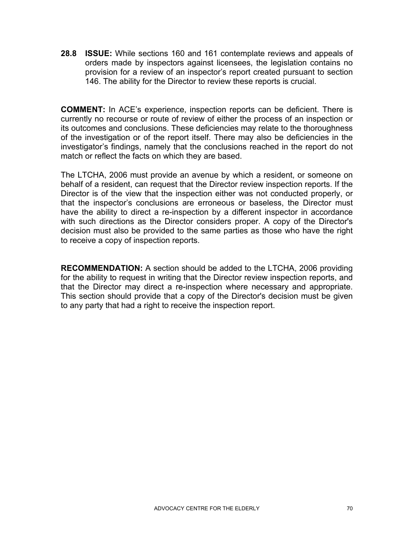**28.8 ISSUE:** While sections 160 and 161 contemplate reviews and appeals of orders made by inspectors against licensees, the legislation contains no provision for a review of an inspector's report created pursuant to section 146. The ability for the Director to review these reports is crucial.

**COMMENT:** In ACE's experience, inspection reports can be deficient. There is currently no recourse or route of review of either the process of an inspection or its outcomes and conclusions. These deficiencies may relate to the thoroughness of the investigation or of the report itself. There may also be deficiencies in the investigator's findings, namely that the conclusions reached in the report do not match or reflect the facts on which they are based.

The LTCHA, 2006 must provide an avenue by which a resident, or someone on behalf of a resident, can request that the Director review inspection reports. If the Director is of the view that the inspection either was not conducted properly, or that the inspector's conclusions are erroneous or baseless, the Director must have the ability to direct a re-inspection by a different inspector in accordance with such directions as the Director considers proper. A copy of the Director's decision must also be provided to the same parties as those who have the right to receive a copy of inspection reports.

**RECOMMENDATION:** A section should be added to the LTCHA, 2006 providing for the ability to request in writing that the Director review inspection reports, and that the Director may direct a re-inspection where necessary and appropriate. This section should provide that a copy of the Director's decision must be given to any party that had a right to receive the inspection report.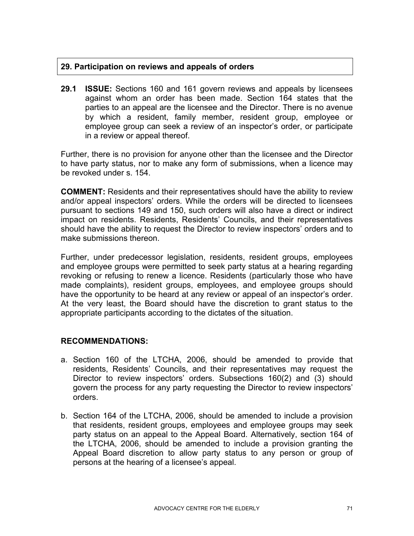## **29. Participation on reviews and appeals of orders**

**29.1 ISSUE:** Sections 160 and 161 govern reviews and appeals by licensees against whom an order has been made. Section 164 states that the parties to an appeal are the licensee and the Director. There is no avenue by which a resident, family member, resident group, employee or employee group can seek a review of an inspector's order, or participate in a review or appeal thereof.

Further, there is no provision for anyone other than the licensee and the Director to have party status, nor to make any form of submissions, when a licence may be revoked under s. 154.

**COMMENT:** Residents and their representatives should have the ability to review and/or appeal inspectors' orders. While the orders will be directed to licensees pursuant to sections 149 and 150, such orders will also have a direct or indirect impact on residents. Residents, Residents' Councils, and their representatives should have the ability to request the Director to review inspectors' orders and to make submissions thereon.

Further, under predecessor legislation, residents, resident groups, employees and employee groups were permitted to seek party status at a hearing regarding revoking or refusing to renew a licence. Residents (particularly those who have made complaints), resident groups, employees, and employee groups should have the opportunity to be heard at any review or appeal of an inspector's order. At the very least, the Board should have the discretion to grant status to the appropriate participants according to the dictates of the situation.

## **RECOMMENDATIONS:**

- a. Section 160 of the LTCHA, 2006, should be amended to provide that residents, Residents' Councils, and their representatives may request the Director to review inspectors' orders. Subsections 160(2) and (3) should govern the process for any party requesting the Director to review inspectors' orders.
- b. Section 164 of the LTCHA, 2006, should be amended to include a provision that residents, resident groups, employees and employee groups may seek party status on an appeal to the Appeal Board. Alternatively, section 164 of the LTCHA, 2006, should be amended to include a provision granting the Appeal Board discretion to allow party status to any person or group of persons at the hearing of a licensee's appeal.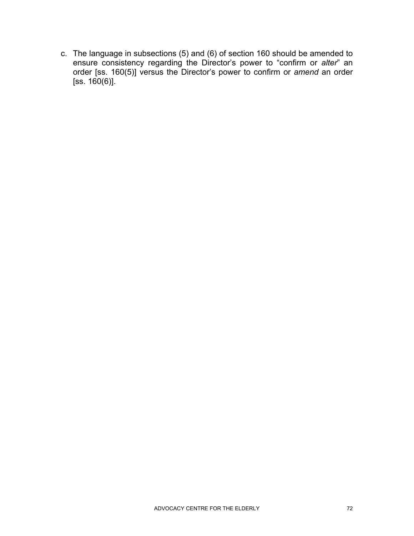c. The language in subsections (5) and (6) of section 160 should be amended to ensure consistency regarding the Director's power to "confirm or *alter*" an order [ss. 160(5)] versus the Director's power to confirm or *amend* an order  $[$ ss. 160 $(6)$ ].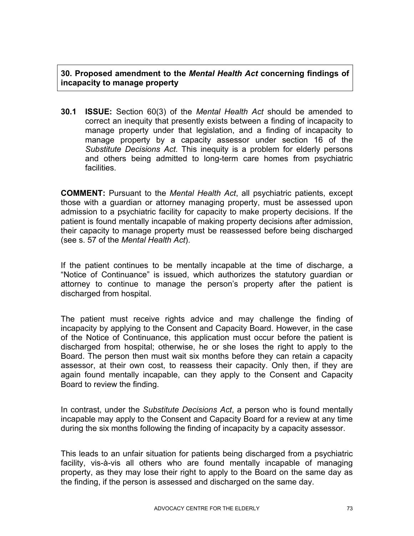**30. Proposed amendment to the** *Mental Health Act* **concerning findings of incapacity to manage property** 

**30.1 ISSUE:** Section 60(3) of the *Mental Health Act* should be amended to correct an inequity that presently exists between a finding of incapacity to manage property under that legislation, and a finding of incapacity to manage property by a capacity assessor under section 16 of the *Substitute Decisions Act*. This inequity is a problem for elderly persons and others being admitted to long-term care homes from psychiatric facilities.

**COMMENT:** Pursuant to the *Mental Health Act*, all psychiatric patients, except those with a guardian or attorney managing property, must be assessed upon admission to a psychiatric facility for capacity to make property decisions. If the patient is found mentally incapable of making property decisions after admission, their capacity to manage property must be reassessed before being discharged (see s. 57 of the *Mental Health Act*).

If the patient continues to be mentally incapable at the time of discharge, a "Notice of Continuance" is issued, which authorizes the statutory guardian or attorney to continue to manage the person's property after the patient is discharged from hospital.

The patient must receive rights advice and may challenge the finding of incapacity by applying to the Consent and Capacity Board. However, in the case of the Notice of Continuance, this application must occur before the patient is discharged from hospital; otherwise, he or she loses the right to apply to the Board. The person then must wait six months before they can retain a capacity assessor, at their own cost, to reassess their capacity. Only then, if they are again found mentally incapable, can they apply to the Consent and Capacity Board to review the finding.

In contrast, under the *Substitute Decisions Act*, a person who is found mentally incapable may apply to the Consent and Capacity Board for a review at any time during the six months following the finding of incapacity by a capacity assessor.

This leads to an unfair situation for patients being discharged from a psychiatric facility, vis-à-vis all others who are found mentally incapable of managing property, as they may lose their right to apply to the Board on the same day as the finding, if the person is assessed and discharged on the same day.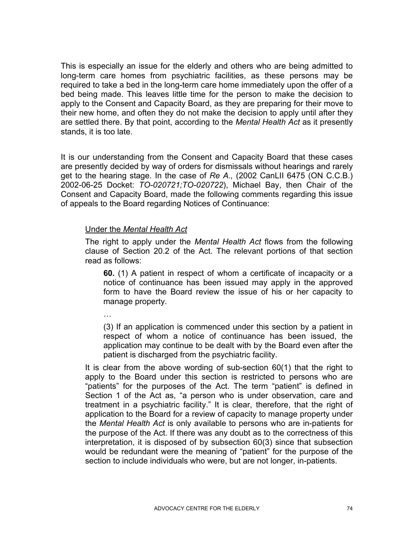This is especially an issue for the elderly and others who are being admitted to long-term care homes from psychiatric facilities, as these persons may be required to take a bed in the long-term care home immediately upon the offer of a bed being made. This leaves little time for the person to make the decision to apply to the Consent and Capacity Board, as they are preparing for their move to their new home, and often they do not make the decision to apply until after they are settled there. By that point, according to the *Mental Health Act* as it presently stands, it is too late.

It is our understanding from the Consent and Capacity Board that these cases are presently decided by way of orders for dismissals without hearings and rarely get to the hearing stage. In the case of *Re A.,* (2002 CanLII 6475 (ON C.C.B.) 2002-06-25 Docket: *TO-020721;TO-020722*), Michael Bay, then Chair of the Consent and Capacity Board, made the following comments regarding this issue of appeals to the Board regarding Notices of Continuance:

## Under the *Mental Health Act*

The right to apply under the *Mental Health Act* flows from the following clause of Section 20.2 of the Act. The relevant portions of that section read as follows:

**60.** (1) A patient in respect of whom a certificate of incapacity or a notice of continuance has been issued may apply in the approved form to have the Board review the issue of his or her capacity to manage property.

…

(3) If an application is commenced under this section by a patient in respect of whom a notice of continuance has been issued, the application may continue to be dealt with by the Board even after the patient is discharged from the psychiatric facility.

It is clear from the above wording of sub-section 60(1) that the right to apply to the Board under this section is restricted to persons who are "patients" for the purposes of the Act. The term "patient" is defined in Section 1 of the Act as, "a person who is under observation, care and treatment in a psychiatric facility." It is clear, therefore, that the right of application to the Board for a review of capacity to manage property under the *Mental Health Act* is only available to persons who are in-patients for the purpose of the Act. If there was any doubt as to the correctness of this interpretation, it is disposed of by subsection 60(3) since that subsection would be redundant were the meaning of "patient" for the purpose of the section to include individuals who were, but are not longer, in-patients.